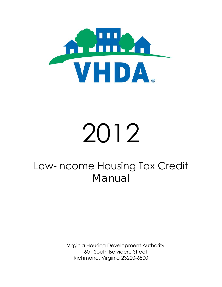

# 2012

# Low-Income Housing Tax Credit *Manual*

Virginia Housing Development Authority 601 South Belvidere Street Richmond, Virginia 23220-6500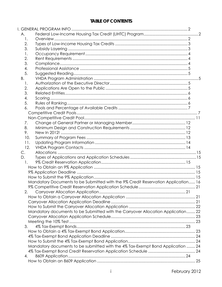## **TABLE OF CONTENTS**

| А.  |                                                                                   |  |
|-----|-----------------------------------------------------------------------------------|--|
| 1.  |                                                                                   |  |
| 2.  |                                                                                   |  |
| 3.  |                                                                                   |  |
| 1.  |                                                                                   |  |
| 2.  |                                                                                   |  |
| 3.  |                                                                                   |  |
| 4.  |                                                                                   |  |
| 5.  |                                                                                   |  |
| В.  |                                                                                   |  |
| 1.  |                                                                                   |  |
| 2.  |                                                                                   |  |
| 3.  |                                                                                   |  |
| 4.  |                                                                                   |  |
| 5.  |                                                                                   |  |
| 6.  |                                                                                   |  |
|     |                                                                                   |  |
|     |                                                                                   |  |
| 7.  |                                                                                   |  |
| 8.  |                                                                                   |  |
| 9.  |                                                                                   |  |
| 10. |                                                                                   |  |
| 11. |                                                                                   |  |
| 12. |                                                                                   |  |
| C.  |                                                                                   |  |
| D.  |                                                                                   |  |
| 1.  |                                                                                   |  |
|     |                                                                                   |  |
|     |                                                                                   |  |
|     |                                                                                   |  |
|     | Mandatory Documents to be Submitted with the 9% Credit Reservation Application 16 |  |
|     |                                                                                   |  |
| 2.  |                                                                                   |  |
|     |                                                                                   |  |
|     |                                                                                   |  |
|     |                                                                                   |  |
|     | Mandatory documents to be Submitted with the Carryover Allocation Application 22  |  |
|     |                                                                                   |  |
|     |                                                                                   |  |
| 3.  |                                                                                   |  |
|     |                                                                                   |  |
|     |                                                                                   |  |
|     |                                                                                   |  |
|     | Mandatory documents to be submitted with the 4% Tax-Exempt Bond Application  24   |  |
|     |                                                                                   |  |
| 4.  |                                                                                   |  |
|     |                                                                                   |  |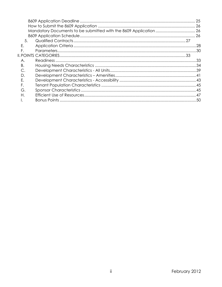| 5. |  |
|----|--|
| Е. |  |
| F. |  |
|    |  |
| Α. |  |
| Β. |  |
|    |  |
| D. |  |
| F. |  |
| F. |  |
| G. |  |
| Н. |  |
|    |  |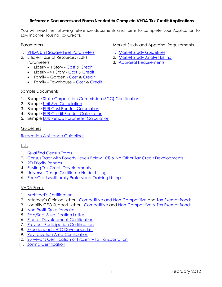#### **Reference Documents and Forms Needed to Complete VHDA Tax Credit Applications**

You will need the following reference documents and forms to complete your Application for Low Income Housing Tax Credits.

#### **Parameters**

- 1. [VHDA Unit Square Feet Parameters](http://www.vhda.com/BusinessPartners/MFDevelopers/MF-LoanApplication-Guides/LIHTC%20Reference%20Documents%20and%20Forms/2012UnitSqFeetParameters.pdf)
- 2. Efficient Use of Resources (EUR) **Parameters** 
	- Elderly 1 Story [Cost](http://www.vhda.com/BusinessPartners/MFDevelopers/MF-LoanApplication-Guides/LIHTC%20Reference%20Documents%20and%20Forms/2012EURElderly1StoryCost.pdf) & [Credit](http://www.vhda.com/BusinessPartners/MFDevelopers/MF-LoanApplication-Guides/LIHTC%20Reference%20Documents%20and%20Forms/2012EURElderly1StoryCredit.pdf)
	- Elderly >1 Story [Cost](http://www.vhda.com/BusinessPartners/MFDevelopers/MF-LoanApplication-Guides/LIHTC%20Reference%20Documents%20and%20Forms/2012EURElderlyCost.pdf) [& Credit](http://www.vhda.com/BusinessPartners/MFDevelopers/MF-LoanApplication-Guides/LIHTC%20Reference%20Documents%20and%20Forms/2012EURElderlyCredit.pdf)
	- Family Garden - [Cost](http://www.vhda.com/BusinessPartners/MFDevelopers/MF-LoanApplication-Guides/LIHTC%20Reference%20Documents%20and%20Forms/2012EURFamilyGardenCost.pdf) & Credit
	- Family Townhouse [Cost](http://www.vhda.com/BusinessPartners/MFDevelopers/MF-LoanApplication-Guides/LIHTC%20Reference%20Documents%20and%20Forms/2012EURFamilyTownhouseCost.pdf) & Credit

#### Sample Documents

- 1. *Sample* [State Corporation Commission \(SCC\) Certification](http://www.vhda.com/BusinessPartners/MFDevelopers/MF-LoanApplication-Guides/Reference%20and%20Form%20Documents/2012SurveyorCertProxtoTransp.doc)
- 2. *Sample* [Unit Size Calculation](http://www.vhda.com/BusinessPartners/MFDevelopers/MF-LoanApplication-Guides/LIHTC%20Reference%20Documents%20and%20Forms/2012UnitSizeCalc.pdf)
- 3. *Sample* [EUR Cost Per Unit Calculation](http://www.vhda.com/BusinessPartners/MFDevelopers/MF-LoanApplication-Guides/LIHTC%20Reference%20Documents%20and%20Forms/2012COSTPERUNIT.pdf)
- 4. *Sample* [EUR Credit Per Unit Calculation](http://www.vhda.com/BusinessPartners/MFDevelopers/MF-LoanApplication-Guides/LIHTC%20Reference%20Documents%20and%20Forms/2012CREDITPERUNIT.pdf)
- 5. *Sample* [EUR Rehab Parameter Calculation](http://www.vhda.com/BusinessPartners/MFDevelopers/MF-LoanApplication-Guides/LIHTC%20Reference%20Documents%20and%20Forms/2012REHABPARAMETER.pdf)

#### **Guidelines**

[Relocation Assistance Guidelines](http://www.vhda.com/BusinessPartners/MFDevelopers/MF-LoanApplication-Guides/Reference%20and%20Form%20Documents/2011%20Relocation%20Assistance%20Guidelines.pdf) 

#### Lists

- 1. [Qualified Census Tracts](http://www.vhda.com/BusinessPartners/MFDevelopers/MF-LoanApplication-Guides/LIHTC%20Reference%20Documents%20and%20Forms/2012QCTs.pdf)
- 2. [Census Tract with Poverty Levels Below 10% & No Other Tax Credit Developments](http://www.vhda.com/BusinessPartners/MFDevelopers/MF-LoanApplication-Guides/LIHTC%20Reference%20Documents%20and%20Forms/2012CTBelow10PCT.pdf)
- 3. [RD Priority Rehabs](http://www.vhda.com/BusinessPartners/MFDevelopers/LIHTCProgram/LowIncome%20Housing%20Tax%20Credit%20Program/2012RDRehabPriority.pdf)
- 4. [Existing Tax Credit Developments](http://www.vhda.com/BusinessPartners/MFDevelopers/LIHTCProgram/Tax%20Credit%20Property%20Listings%20and%20Developer%20Informa/Existing%20TC%20Properties%20(by%20Yr-Type).xls)
- 5. [Universal Design Certificate Holder Listing](http://www.vhda.com/BusinessPartners/MFDevelopers/LIHTCProgram/Universal%20Design/Universal%20Design%20Certificate%20Holder%20List.pdf)
- 6. [EarthCraft Multifamily Professional Training Listing](http://www.vhda.com/BusinessPartners/MFDevelopers/LIHTCProgram/LowIncome%20Housing%20Tax%20Credit%20Program/EarthCraft%20MPT%20List.pdf)

#### VHDA Forms

- 1. [Architect's Certification](http://www.vhda.com/BusinessPartners/MFDevelopers/MF-LoanApplication-Guides/Reference%20and%20Form%20Documents/2012ArchCert.xls)
- 2. Attorney's Opinion Letter [Competitive and Non-Competitive](http://www.vhda.com/BusinessPartners/MFDevelopers/MF-LoanApplication-Guides/Reference%20and%20Form%20Documents/2012Attorney) and [Tax-Exempt Bonds](http://www.vhda.com/BusinessPartners/MFDevelopers/MF-LoanApplication-Guides/Reference%20and%20Form%20Documents/2012AMTAttorneysOpinion.doc)
- 3. Locality CEO Support Letter [Competitive](http://www.vhda.com/BusinessPartners/MFDevelopers/MF-LoanApplication-Guides/Reference%20and%20Form%20Documents/2012LocalityCEOLtr.doc) and Non-Competitive & Tax Exempt Bonds
- 4. [Non-Profit Questionnaire](http://www.vhda.com/BusinessPartners/MFDevelopers/MF-LoanApplication-Guides/Reference%20and%20Form%20Documents/2012NPQuestionnaire.doc)
- 5. [PHA/Sec. 8 Notification Letter](http://www.vhda.com/BusinessPartners/MFDevelopers/MF-LoanApplication-Guides/Reference%20and%20Form%20Documents/2012PHASec8.doc)
- 6. [Plan of Development Certification](http://www.vhda.com/BusinessPartners/MFDevelopers/MF-LoanApplication-Guides/Reference%20and%20Form%20Documents/2012PlanDevCert.doc)
- 7. [Previous Participation Certification](http://www.vhda.com/BusinessPartners/MFDevelopers/MF-LoanApplication-Guides/Reference%20and%20Form%20Documents/2012PreviousParticipationCert.xls)
- 8. [Experienced LIHTC Developers List](http://www.vhda.com/BusinessPartners/MFDevelopers/MF-LoanApplication-Guides/Reference%20and%20Form%20Documents/ExperiencedLIHTCDevelopers.pdf)
- 9. [Revitalization Area Certification](http://www.vhda.com/BusinessPartners/MFDevelopers/MF-LoanApplication-Guides/Reference%20and%20Form%20Documents/2012RevitAreaCert.doc)
- 10. [Surveyor's Certification of Proximity to Transportation](http://www.vhda.com/BusinessPartners/MFDevelopers/MF-LoanApplication-Guides/Reference%20and%20Form%20Documents/2012SurveyorCertProxtoTransp.doc)
- 11. [Zoning Certification](http://www.vhda.com/BusinessPartners/MFDevelopers/MF-LoanApplication-Guides/Reference%20and%20Form%20Documents/2012ZoningCert.doc)

#### Market Study and Appraisal Requirements

- 1. [Market Study Guidelines](http://www.vhda.com/BusinessPartners/MFDevelopers/LIHTCProgram/LowIncome%20Housing%20Tax%20Credit%20Program/2012%20Market%20Study%20Guidelines%20(rev.%2011.2011).pdf)
- 2. [Market Study Analyst Listing](http://www.vhda.com/BusinessPartners/MFDevelopers/LIHTCProgram/LowIncome%20Housing%20Tax%20Credit%20Program/VHDA%20Approved%20Market%20Analysts%20Listing%20(LIHTC)-rev.pdf)
- 3. [Appraisal Requirements](http://www.vhda.com/BusinessPartners/MFDevelopers/LIHTCProgram/LowIncome%20Housing%20Tax%20Credit%20Program/2012AppraisalReq.pdf)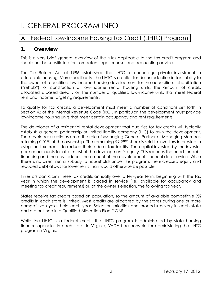# <span id="page-4-0"></span>I. GENERAL PROGRAM INFO

## <span id="page-4-1"></span>A. Federal Low-Income Housing Tax Credit (LIHTC) Program

#### <span id="page-4-2"></span>**1. Overview**

This is a very brief, general overview of the rules applicable to the tax credit program and should not be substituted for competent legal counsel and accounting advice.

The Tax Reform Act of 1986 established the LIHTC to encourage private investment in affordable housing. More specifically, the LIHTC is a dollar-for-dollar reduction in tax liability to the owner of a qualified low-income housing development for the acquisition, rehabilitation ("rehab"), or construction of low-income rental housing units. The amount of credits allocated is based directly on the number of qualified low-income units that meet federal rent and income targeting requirements.

To qualify for tax credits, a development must meet a number of conditions set forth in Section 42 of the Internal Revenue Code (IRC). In particular, the development must provide low-income housing units that meet certain occupancy and rent requirements.

The developer of a residential rental development that qualifies for tax credits will typically establish a general partnership or limited liability company (LLC) to own the development. The developer usually assumes the role of Managing General Partner or Managing Member, retaining 0.01% of the ownership. The remaining 99.99% share is sold to investors interested in using the tax credits to reduce their federal tax liability. The capital invested by the investor partner accounts for all or most of the development's equity. This reduces the need for debt financing and thereby reduces the amount of the development's annual debt service. While there is no direct rental subsidy to households under this program, the increased equity and reduced debt allows for lower rents than would otherwise be possible.

Investors can claim these tax credits annually over a ten-year term, beginning with the tax year in which the development is placed in service (i.e., available for occupancy and meeting tax credit requirements) or, at the owner's election, the following tax year.

States receive tax credits based on population, so the amount of available competitive 9% credits in each state is limited. Most credits are allocated by the states during one or more competitive cycles held each year. Selection priorities and procedures vary in each state and are outlined in a Qualified Allocation Plan ("QAP").

While the LIHTC is a federal credit, the LIHTC program is administered by state housing finance agencies in each state. In Virginia, VHDA is responsible for administering the LIHTC program in Virginia.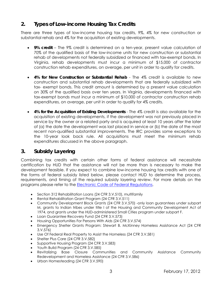## <span id="page-5-0"></span>**2. Types of Low-income Housing Tax Credits**

There are three types of low-income housing tax credits, 9%, 4% for new construction or substantial rehab and 4% for the acquisition of existing developments.

- **9% credit** The 9% credit is determined on a ten-year, present value calculation of 70% of the qualified basis of the low-income units for new construction or substantial rehab of developments not federally subsidized or financed with tax-exempt bonds. In Virginia, rehab developments must incur a minimum of \$15,000 of contractor construction rehab expenditures, on average, per unit in order to qualify for credits.
- **4% for New Construction or Substantial Rehab** The 4% credit is available to new construction and substantial rehab developments that are federally subsidized with tax- exempt bonds. This credit amount is determined by a present value calculation on 30% of the qualified basis over ten years. In Virginia, developments financed with tax-exempt bonds must incur a minimum of \$10,000 of contractor construction rehab expenditures, on average, per unit in order to qualify for 4% credits.
- **4% for the Acquisition of Existing Developments** The 4% credit is also available for the acquisition of existing developments, if the development was not previously placed in service by the owner or a related party and is acquired at least 10 years after the later of (a) the date the development was last placed in service or (b) the date of the most recent non-qualified substantial improvements. The IRC provides some exceptions to the 10-year look back rule. All acquisitions must meet the minimum rehab expenditures discussed in the above paragraph.

## <span id="page-5-1"></span>**3. Subsidy Layering**

Combining tax credits with certain other forms of federal assistance will necessitate certification by HUD that the assistance will not be more than is necessary to make the development feasible. If you expect to combine low-income housing tax credits with one of the forms of federal subsidy listed below, please contact HUD to determine the process, requirements, and timing of the required subsidy layering review. For more details on the programs please refer to the **Electronic Code of Federal Regulations.** 

- Section 312 Rehabilitation Loans (24 CFR 3.V.510), multifamily
- Rental Rehabilitation Grant Program (24 CFR 3.V.511)
- Community Development Block Grants (24 CFR 3.V.570) -only loan guarantees under subpart M, grants to Indian tribes under title I of the Housing and Community Development Act of 1974, and grants under the HUD-administered Small Cities program under subpart F.
- Loan Guarantee Recovery Fund (24 CFR 3.V.573)
- Housing Opportunities For Persons With Aids (24 CFR 3.V.574)
- Emergency Shelter Grants Program: Stewart B. McKinney Homeless Assistance Act (24 CFR 3.V.576)
- Use Of Federal Real Property to Assist the Homeless (24 CFR 3.V.581)
- Shelter Plus Care (24 CFR 3.V.582)
- Supportive Housing Program (24 CFR 3.V.583)
- Youth Build Program (24 CFR 3.V.585)
- Revitalizing Base Closure Communities and Community Assistance Community Redevelopment and Homeless Assistance (24 CFR 3.V.586)
- Urban Homesteading (24 CFR 3.V.590)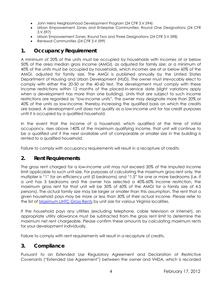- John Heinz Neighborhood Development Program (24 CFR 3.V.594)
- Urban Empowerment Zones and Enterprise Communities: Round One Designations (24 CFR 3.V.597)
- Urban Empowerment Zones: Round Two and Three Designations (24 CFR 3.V.598)
- Renewal Communities (24 CFR 3.V.599)

## <span id="page-6-0"></span>**1. Occupancy Requirement**

A minimum of 20% of the units must be occupied by households with incomes at or below 50% of the area median gross income (AMGI), as adjusted for family size; or a minimum of 40% of the units must be occupied by households, which incomes are at or below 60% of the AMGI, adjusted for family size. The AMGI is published annually by the United States Department of Housing and Urban Development (HUD). The owner must irrevocably elect to comply with either the 20-50 or the 40-60 test. The development must comply with these income restrictions within 12 months of the placed-in-service date (slight variations apply when a development has more than one building). Units that are subject to such income restrictions are regarded as "low-income units". The owner may designate more than 20% or 40% of the units as low-income, thereby increasing the qualified basis on which the credits are based. A development unit does not qualify as a low-income unit for tax credit purposes until it is occupied by a qualified household.

In the event that the income of a household, which qualified at the time of initial occupancy, rises above 140% of the maximum qualifying income, that unit will continue to be a qualified unit if the next available unit of comparable or smaller size in the building is rented to a qualified household.

Failure to comply with occupancy requirements will result in a recapture of credits.

## <span id="page-6-1"></span>**2. Rent Requirements**

The gross rent charged for a low-income unit may not exceed 30% of the imputed income limit applicable to such unit size. For purposes of calculating the maximum gross rent only, the multiplier is "1" for an efficiency unit (0 bedrooms) and "1.5" for one or more bedrooms (i.e. if a unit has 3 bedrooms and the owner has selected a 40%-60% income restriction, the maximum gross rent for that unit will be 30% of 60% of the AMGI for a family size of 4.5 persons). The actual family size may be larger or smaller than this assumption. The rent that a given household pays may be more or less than 30% of their actual income. Please refer to the list of [Maximum LIHTC Gross Rents](http://www.vhda.com/BusinessPartners/PropertyOwnersManagers/Income-Rent-Limits/Pages/Maximum-LIHTC-Gross-Rents.aspx) by unit size for various Virginia localities.

If the household pays any utilities (excluding telephone, cable television or internet), an appropriate utility allowance must be subtracted from the gross rent limit to determine the maximum net rent chargeable. Please confirm these amounts by calculating maximum rents for your development individually.

Failure to comply with rent requirements will result in a recapture of credits.

## <span id="page-6-2"></span>**3. Compliance**

Pursuant to an Extended Use Regulatory Agreement and Declaration of Restrictive Covenants ("Extended Use Agreement") between the owner and VHDA, which is recorded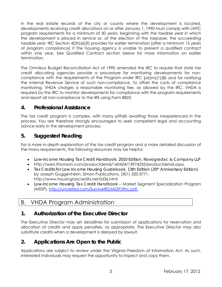in the real estate records of the city or county where the development is located, developments receiving credit allocations on or after January 1, 1990 must comply with LIHTC program requirements for a minimum of 30 years, beginning with the taxable year in which the development is placed in service or, at the election of the taxpayer, the succeeding taxable year. IRC Section 42(h)(6)(f) provides for earlier termination (after a minimum 15 years of program compliance) if the housing agency is unable to present a qualified contract within one year. See Qualified Contract section below for more information on earlier termination.

The Omnibus Budget Reconciliation Act of 1990 amended the IRC to require that state tax credit allocating agencies provide a procedure for monitoring developments for noncompliance with the requirements of the Program under IRC §42(m)(1)(B) and for notifying the Internal Revenue Service of such non-compliance. To offset the costs of compliance monitoring, VHDA charges a reasonable monitoring fee, as allowed by the IRC. VHDA is required by the IRC to monitor developments for compliance with the program requirements and report all non-compliance to the IRS using Form 8823.

## <span id="page-7-0"></span>**4. Professional Assistance**

The tax credit program is complex, with many pitfalls awaiting those inexperienced in the process. You are therefore strongly encouraged to seek competent legal and accounting advice early in the development process.

## <span id="page-7-1"></span>**5. Suggested Reading**

For a more in-depth explanation of the tax credit program and a more detailed discussion of the many requirements, the following resources may be helpful:

- *Low-Income Housing Tax Credit Handbook*, *2010 Edition*, *Novogradac & Company LLP*
- http://west.thomson.com/productdetail/160424/13974235/productdetail.aspx.
- *Tax Credits for Low Income Housing Guidebook*, *13th Edition (20th Anniversary Edition)*, by Joseph Guggenheim, Simon Publications, (301) 320-5771, http://www.housingtaxcredits.net/id36.html
- *Low-Income Housing Tax Credit Handbook* Market Segment Specialization Program (MSSP), [http://unclefed.com/SurviveIRS/MSSP/lihc.pdf .](http://unclefed.com/SurviveIRS/MSSP/lihc.pdf)

## <span id="page-7-2"></span>B. VHDA Program Administration

## <span id="page-7-3"></span>**1. Authorization of the Executive Director**

The Executive Director may set deadlines for submission of applications for reservation and allocation of credits and apply penalties, as appropriate. The Executive Director may also substitute credits when a development is delayed by lawsuit.

## <span id="page-7-4"></span>**2. Applications Are Open to the Public**

Applications are subject to review under the Virginia Freedom of Information Act. As such, interested individuals may request the opportunity to inspect and copy them.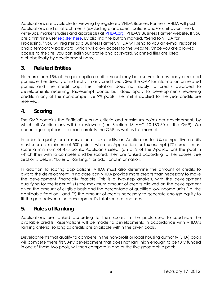Applications are available for viewing by registered VHDA Business Partners. VHDA will post Applications and all attachments (excluding plans, specifications and/or unit-by-unit work write-ups, market studies and appraisals) at [VHDA.org,](https://www.vhda.org/logon.asp) VHDA's Business Partner website. If you are a first time user [register here](http://www.vhda.com/BusinessPartners/MFDevelopers/LIHTCProgram/Pages/Tax-Credit-Applications-Registration.aspx). By clicking the button marked, "Send to VHDA for Processing," you will register as a Business Partner. VHDA will send to you an e-mail response and a temporary password, which will allow access to the website. Once you are allowed access to the site, you can edit your profile and password. Scanned files are listed alphabetically by development name.

## <span id="page-8-0"></span>**3. Related Entities**

No more than 15% of the per capita credit amount may be reserved to any party or related parties, either directly or indirectly, in any credit year. See the QAP for information on related parties and the credit cap. This limitation does not apply to credits awarded to developments receiving tax-exempt bonds but does apply to developments receiving credits in any of the non-competitive 9% pools. The limit is applied to the year credits are reserved.

## <span id="page-8-1"></span>**4. Scoring**

The QAP contains the "official" scoring criteria and maximum points per development, by which all Applications will be reviewed (see Section 13 VAC 10-180-60 of the QAP). We encourage applicants to read carefully the QAP as well as this manual.

In order to qualify for a reservation of tax credits, an Application for 9% competitive credits must score a minimum of 500 points, while an Application for tax-exempt (4%) credits must score a minimum of 475 points. Applicants select (on p. 2 of the Application) the pool in which they wish to compete and be scored, then are ranked according to their scores. See Section 5 below, "Rules of Ranking," for additional information.

In addition to scoring applications, VHDA must also determine the amount of credits to award the development. In no case can VHDA provide more credits than necessary to make the development financially feasible. This is a two-step analysis, with the development qualifying for the lesser of: (1) the maximum amount of credits allowed on the development given the amount of eligible basis and the percentage of qualified low-income units (i.e. the applicable fraction), and (2) the amount of credits necessary to generate enough equity to fill the gap between the development's total sources and uses.

## <span id="page-8-2"></span>**5. Rules of Ranking**

Applications are ranked according to their scores in the pools used to subdivide the available credits. Reservations will be made to developments in accordance with VHDA's ranking criteria, so long as credits are available within the given pools.

Developments that qualify to compete in the non-profit or local housing authority (LHA) pools will compete there first. Any development that does not rank high enough to be fully funded in one of these two pools, will then compete in one of the five geographic pools.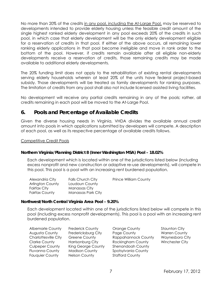No more than 20% of the credits in any pool, including the At-Large Pool, may be reserved to developments intended to provide elderly housing unless the feasible credit amount of the single highest ranked elderly development in any pool exceeds 20% of the credits in such pool, in which case that elderly development will be the only elderly development eligible for a reservation of credits in that pool. If either of the above occurs, all remaining lower ranking elderly applications in that pool become ineligible and move in rank order to the bottom of the pool. However, if credits remain available after all eligible non-elderly developments receive a reservation of credits, those remaining credits may be made available to additional elderly developments.

The 20% funding limit does not apply to the rehabilitation of existing rental developments serving elderly households wherein at least 20% of the units have federal project-based subsidy. Those developments will be treated as family developments for ranking purposes. The limitation of credits from any pool shall also not include licensed assisted living facilities.

No development will receive any partial credits remaining in any of the pools; rather, all credits remaining in each pool will be moved to the At-Large Pool.

## <span id="page-9-0"></span>**6. Pools and Percentage of Available Credits**

Given the diverse housing needs in Virginia, VHDA divides the available annual credit amount into pools in which applications submitted by developers will compete. A description of each pool, as well as its respective percentage of available credits follows.

#### <span id="page-9-1"></span>Competitive Credit Pools

#### **Northern Virginia/Planning District 8 (Inner Washington MSA) Pool – 18.02%**

Each development which is located within one of the jurisdictions listed below (including excess nonprofit and new construction or adaptive re-use developments), will compete in this pool. This pool is a pool with an increasing rent burdened population.

| Alexandria City  | Falls Church City  | <b>Prince William County</b> |
|------------------|--------------------|------------------------------|
| Arlington County | Loudoun County     |                              |
| Fairfax City     | Manassas City      |                              |
| Fairfax County   | Manassas Park City |                              |

#### **Northwest/North Central Virginia Area Pool – 9.20%**

Each development located within one of the jurisdictions listed below will compete in this pool (including excess nonprofit developments). This pool is a pool with an increasing rent burdened population.

| <b>Albemarle County</b>     | <b>Frederick County</b> |
|-----------------------------|-------------------------|
| Augusta County              | Fredericksburg City     |
| <b>Charlottesville City</b> | <b>Greene County</b>    |
| <b>Clarke County</b>        | Harrisonburg City       |
| <b>Culpeper County</b>      | King George Coun        |
| <b>Fluvanna County</b>      | <b>Madison County</b>   |
| <b>Fauquier County</b>      | <b>Nelson County</b>    |
|                             |                         |

- **Orange County Frederick Control** Staunton City Page County **Fredericks** Warren County Rappahannock County Waynesboro City Rockingham County Winchester City Ity Shenandoah County Spotsylvania County Stafford County
-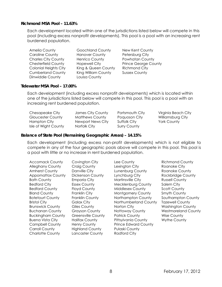#### **Richmond MSA Pool – 11.63%**

Each development located within one of the jurisdictions listed below will compete in this pool (including excess nonprofit developments). This pool is a pool with an increasing rent burdened population.

| Amelia County                | <b>Goochland County</b> | New Kent County             |
|------------------------------|-------------------------|-----------------------------|
| <b>Caroline County</b>       | <b>Hanover County</b>   | Petersburg City             |
| <b>Charles City County</b>   | <b>Henrico County</b>   | Powhatan County             |
| <b>Chesterfield County</b>   | <b>Hopewell City</b>    | <b>Prince George County</b> |
| <b>Colonial Heights City</b> | King & Queen County     | <b>Richmond City</b>        |
| <b>Cumberland County</b>     | King William County     | <b>Sussex County</b>        |
| Dinwiddie County             | Louisa County           |                             |

#### **Tidewater MSA Pool – 17.00%**

Each development (including excess nonprofit developments) which is located within one of the jurisdictions listed below will compete in this pool. This pool is a pool with an increasing rent burdened population.

| Chesapeake City      | James City County | Portsmouth City | Virginia Beach City |
|----------------------|-------------------|-----------------|---------------------|
| Gloucester County    | Matthews County   | Poguoson City   | Williamsburg City   |
| Hampton City         | Newport News City | Suffolk City    | York County         |
| Isle of Wight County | Norfolk City      | Surry County    |                     |

#### **Balance of State Pool (Remaining Geographic Areas) – 14.15%**

Each development (including excess non-profit developments) which is not eligible to compete in any of the four geographic pools above will compete in this pool. This pool is a pool with little or no increase in rent burdened population.

| <b>Accomack County</b>   | Covington City            | Lee County                  | <b>Richmond County</b>     |
|--------------------------|---------------------------|-----------------------------|----------------------------|
| <b>Alleghany County</b>  | Craig County              | Lexington City              | Roanoke City               |
| <b>Amherst County</b>    | Danville City             | Lunenburg County            | <b>Roanoke County</b>      |
| <b>Appomattox County</b> | <b>Dickenson County</b>   | Lynchburg City              | Rockbridge County          |
| <b>Bath County</b>       | <b>Emporia City</b>       | Martinsville City           | <b>Russell County</b>      |
| <b>Bedford City</b>      | <b>Essex County</b>       | <b>Mecklenburg County</b>   | Salem City                 |
| <b>Bedford County</b>    | <b>Floyd County</b>       | <b>Middlesex County</b>     | <b>Scott County</b>        |
| <b>Bland County</b>      | Franklin City             | <b>Montgomery County</b>    | Smyth County               |
| <b>Botetourt County</b>  | Franklin County           | Northampton County          | Southampton County         |
| <b>Bristol City</b>      | Galax City                | Northumberland County       | <b>Tazewell County</b>     |
| <b>Brunswick County</b>  | Giles County              | Norton City                 | <b>Washington County</b>   |
| <b>Buchanan County</b>   | <b>Grayson County</b>     | Nottoway County             | <b>Westmoreland County</b> |
| <b>Buckingham County</b> | <b>Greensville County</b> | <b>Patrick County</b>       | <b>Wise County</b>         |
| <b>Buena Vista City</b>  | <b>Halifax County</b>     | Pittsylvania County         | Wythe County               |
| <b>Campbell County</b>   | Henry County              | <b>Prince Edward County</b> |                            |
| <b>Carroll County</b>    | <b>Highland County</b>    | <b>Pulaski County</b>       |                            |
| <b>Charlotte County</b>  | Lancaster County          | <b>Radford City</b>         |                            |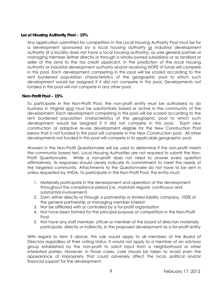#### **Local Housing Authority Pool – 15%**

Any application submitted for competition in the Local Housing Authority Pool must be for a development sponsored by a local housing authority or industrial development authority (if a locality does not have a local housing authority), as sole general partner or managing member (either directly or through a wholly-owned subsidiary) or as landlord or seller of the land to the tax credit applicant, in the jurisdiction of the local housing authority or industrial development authority and/or receiving HOPE VI funds will compete in this pool. Each development competing in this pool will be scored according to the rent burdened population characteristics of the geographic pool to which such development would be assigned if it did not compete in this pool. Developments not funded in this pool will not compete in any other pool.

#### **Non-Profit Pool – 15%**

To participate in the Non-Profit Pool, the non-profit entity must be authorized to do business in Virginia and must be substantially based or active in the community of the development. Each development competing in this pool will be scored according to the rent burdened population characteristics of the geographic pool to which such development would be assigned if it did not compete in this pool. Each new construction or adaptive re-use development eligible for the New Construction Pool below that is not funded in this pool will compete in the New Construction pool. All other developments not funded in this pool will compete in its applicable geographic pool.

Answers in the Non-Profit Questionnaire will be used to determine if the non-profit meets the community based test. Local Housing Authorities are not required to submit the Non-Profit Questionnaire. While a non-profit does not need to answer every question affirmatively, its responses should clearly indicate its commitment to meet the needs of the targeted community. Attachments to the Questionnaire do not have to be sent in unless requested by VHDA. To participate in the Non-Profit Pool, the entity must:

- 1. Materially participate in the development and operation of the development throughout the compliance period (i.e., maintain regular, continuous and substantial involvement)
- 2. Own, either directly or through a partnership or limited liability company, 100% of the general partnership or managing member interest
- 3. Not be affiliated with or controlled by a for-profit organization
- 4. Not have been formed for the principal purpose of competition in the Non-Profit Pool
- 5. Not have any staff member, officer or member of the board of directors materially participate, directly or indirectly, in the proposed development as a for-profit entity

With regard to item 5 above, this rule would apply to all members of the Board of Directors regardless of their voting status. It would not apply to a member of an advisory group established by the non-profit to solicit input from a neighborhood or other interested parties. However, in those cases, care should be taken to avoid even the appearance of impropriety that could adversely affect the local, political and/or financial support for the development.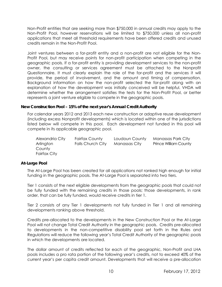Non-Profit entities that are seeking more than \$750,000 in annual credits may apply to the Non-Profit Pool, however reservations will be limited to \$750,000 unless all non-profit applications that meet all threshold requirements have been offered credits and unused credits remain in the Non-Profit Pool.

Joint ventures between a for-profit entity and a non-profit are not eligible for the Non-Profit Pool, but may receive points for non-profit participation when competing in the geographic pools. If a for-profit entity is providing development services to the non-profit owner, the consulting or services agreement must be attached to the Nonprofit Questionnaire. It must clearly explain the role of the for-profit and the services it will provide, the period of involvement, and the amount and timing of compensation. Background information on how the non-profit selected the for-profit along with an explanation of how the development was initially conceived will be helpful. VHDA will determine whether the arrangement satisfies the tests for the Non-Profit Pool, or better represents a joint venture eligible to compete in the geographic pools.

#### **New Construction Pool – 15% of the next year's Annual Credit Authority**

For calendar years 2012 and 2013 each new construction or adaptive reuse development (including excess Nonprofit developments) which is located within one of the jurisdictions listed below will compete in this pool. Each development not funded in this pool will compete in its applicable geographic pool.

| Alexandria City | Fairfax County    | Loudoun County | Manassas Park City           |
|-----------------|-------------------|----------------|------------------------------|
| Arlington       | Falls Church City | Manassas City  | <b>Prince William County</b> |
| County          |                   |                |                              |
| Fairfax City    |                   |                |                              |

#### **At-Large Pool**

The At-Large Pool has been created for all applications not ranked high enough for initial funding in the geographic pools. The At-Large Pool is separated into two tiers.

Tier 1 consists of the next eligible developments from the geographic pools that could not be fully funded with the remaining credits in those pools; those developments, in rank order, that can be fully funded, would receive credits in tier 1.

Tier 2 consists of any Tier 1 developments not fully funded in Tier 1 and all remaining developments ranking above threshold.

Credits pre-allocated to the developments in the New Construction Pool or the At-Large Pool will not change Total Credit Authority in the geographic pools. Credits pre-allocated to developments in the non-competitive disability pool set forth in the Rules and Regulations will reduce the following year's Total Credit Authority of the geographic pools in which the developments are located.

The dollar amount of credits reflected for each of the geographic, Non-Profit and LHA pools includes a pro rata portion of the following year's credits, not to exceed 40% of the current year's per capita credit amount. Developments that will receive a pre-allocation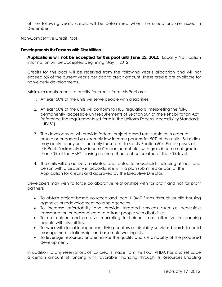of the following year's credits will be determined when the allocations are issued in December.

#### <span id="page-13-0"></span>Non-Competitive Credit Pool

#### **Developments for Persons with Disabilities**

**Applications will not be accepted for this pool until June 15, 2012.** Locality Notification Information will be accepted beginning May 1, 2012.

Credits for this pool will be reserved from the following year's allocation and will not exceed 6% of the current year's per capita credit amount. These credits are available for non-elderly developments.

Minimum requirements to qualify for credits from this Pool are:

- 1. At least 50% of the units will serve people with disabilities.
- 2. At least 50% of the units will conform to HUD regulations interpreting the fully, permanently accessible unit requirements of Section 504 of the Rehabilitation Act (reference the requirements set forth in the Uniform Federal Accessibility Standards "UFAS").
- 3. The development will provide federal project-based rent subsidies in order to ensure occupancy by extremely low-income persons for 50% of the units. Subsidies may apply to any units, not only those built to satisfy Section 504. For purposes of this Pool, "extremely low income" mean households with gross income not greater than 40% of the AMGI paying no more than rent calculated at the 40% level.
- 4. The units will be actively marketed and rented to households including at least one person with a disability in accordance with a plan submitted as part of the Application for credits and approved by the Executive Director.

Developers may wish to forge collaborative relationships with for profit and not for profit partners:

- To obtain project-based vouchers and local HOME funds through public housing agencies or redevelopment housing agencies.
- To increase affordability and provide targeted services such as accessible transportation or personal care to attract people with disabilities.
- To use unique and creative marketing techniques most effective in reaching people with disabilities.
- To work with local independent living centers or disability services boards to build management relationships and assemble waiting lists.
- To leverage resources and enhance the quality and sustainability of the proposed development.

In addition to any reservations of tax credits made from this Pool, VHDA has also set aside a certain amount of funding with favorable financing through its Resources Enabling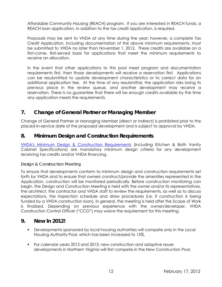Affordable Community Housing (REACH) program. If you are interested in REACH funds, a REACH loan application, in addition to the tax credit application, is required.

Proposals may be sent to VHDA at any time during the year; however, a complete Tax Credit Application, including documentation of the above minimum requirements, must be submitted to VHDA no later than November 1, 2012. These credits are available on a first-come, first-served basis for applications that meet the minimum requirements to receive an allocation.

In the event that other applications to this pool meet program and documentation requirements first, then those developments will receive a reservation first. Applications can be resubmitted to update development characteristics or to correct data for an additional application fee. At the time of any resubmittal, the application risks losing its previous place in the review queue, and another development may receive a reservation. There is no guarantee that there will be enough credits available by the time any application meets the requirements.

## <span id="page-14-0"></span>**7. Change of General Partner or Managing Member**

Change of General Partner or Managing Member (direct or indirect) is prohibited prior to the placed-in-service date of the proposed development and is subject to approval by VHDA.

## <span id="page-14-1"></span>**8. Minimum Design and Construction Requirements**

[VHDA's Minimum Design & Construction Requirements](http://www.vhda.com/BusinessPartners/MFDevelopers/MF-LoanApplication-Guides/MF%20Loan%20Applications%20and%20Guides/2012MinDesignConRequirements.pdf) (including Kitchen & Bath Vanity Cabinet Specifications) are mandatory minimum design criteria for any development receiving tax credits and/or VHDA financing.

#### *Design & Construction Meeting*

To ensure that developments conform to minimum design and construction requirements set forth by VHDA and to ensure that owners construct/provide the amenities represented in the Application, construction will be monitored periodically. Before construction monitoring can begin, the Design and Construction Meeting is held with the owner and/or its representatives, the architect, the contractor and VHDA staff to review the requirements, as well as to discuss expectations, the inspection schedule and draw procedures (i.e. if construction is being funded by a VHDA construction loan). In general, the meeting is held after the Scope of Work is finalized. Depending on previous experience with the owner/developer, VHDA Construction Control Officer ("CCO") may waive the requirement for this meeting.

## <span id="page-14-2"></span>**9. New In 2012!**

- Developments sponsored by local housing authorities will compete only in the Local Housing Authority Pool, which has been increased to 15%.
- For calendar years 2012 and 2013, new construction and adaptive reuse developments in Northern Virginia will first compete in the New Construction Pool.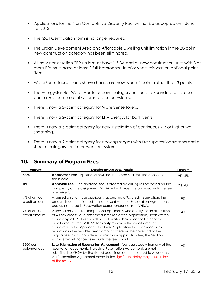- Applications for the Non-Competitive Disability Pool will not be accepted until June 15, 2012.
- The QCT Certification form is no longer required.
- The Urban Development Area and Affordable Dwelling Unit limitation in the 20-point new construction category has been eliminated.
- All new construction 2BR units must have 1.5 BA and all new construction units with 3 or more BRs must have at least 2 full bathrooms. In prior years this was an optional point item.
- WaterSense faucets and showerheads are now worth 2 points rather than 3 points.
- The EnergyStar Hot Water Heater 5-point category has been expanded to include centralized commercial systems and solar systems.
- There is now a 2-point category for WaterSense toilets.
- There is now a 2-point category for EPA EnergyStar bath vents.
- There is now a 5-point category for new installation of continuous R-3 or higher wall sheathing.
- There is now a 2-point category for cooking ranges with fire suppression systems and a 4-point category for fire prevention systems.

| Amount                        | <b>Description/Due Date/Penalty</b>                                                                                                                                                                                                                                                                                                                                                                                                                                                                                                                                                                 | Program |
|-------------------------------|-----------------------------------------------------------------------------------------------------------------------------------------------------------------------------------------------------------------------------------------------------------------------------------------------------------------------------------------------------------------------------------------------------------------------------------------------------------------------------------------------------------------------------------------------------------------------------------------------------|---------|
| \$750                         | <b>Application Fee</b> - Applications will not be processed until the application<br>fee is paid.                                                                                                                                                                                                                                                                                                                                                                                                                                                                                                   | 9%, 4%  |
| TBD                           | Appraisal Fee - The appraisal fee (if ordered by VHDA) will be based on the<br>complexity of the assignment. VHDA will not order the appraisal until the fee<br>is received.                                                                                                                                                                                                                                                                                                                                                                                                                        | 9%, 4%  |
| 7% of annual<br>credit amount | Assessed only to those applicants accepting a 9% credit reservation; the<br>amount is communicated in a letter sent with the Reservation Agreement;<br>due as instructed in Reservation correspondence from VHDA.                                                                                                                                                                                                                                                                                                                                                                                   | 9%      |
| 7% of annual<br>credit amount | Assessed only to tax-exempt bond applicants who qualify for an allocation<br>of 4% tax credits; due after the submission of the Application, upon written<br>request by VHDA. This fee will be calculated based on the lesser of the<br>credit amount from VHDA's feasibility review or the credit amount<br>requested by the Applicant. If at 8609 Application the review causes a<br>reduction in the feasible credit amount, there will be no refund of the<br>original fee, as it is considered a minimum application fee; the Section<br>42(m) letter will not be issued until the fee is paid | $4\%$   |
| \$500 per<br>calendar day     | Late Submission of Reservation Agreement - fee is assessed when any of the<br>reservation documents, including Reservation Agreement, are not<br>submitted to VHDA by the stated deadlines; communicated to Applicants<br>via Reservation Agreement cover letter; significant delay may result in loss<br>of the reservation                                                                                                                                                                                                                                                                        | 9%      |

## <span id="page-15-0"></span>**10. Summary of Program Fees**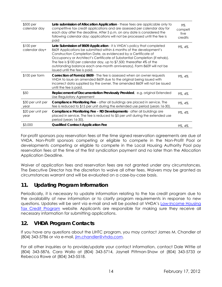| $$500$ per<br>calendar day  | Late submission of Allocation Application - these fees are applicable only to<br>competitive tax credit applications and are assessed per calendar day for<br>each day after the deadline. After 5 p.m. on any date is considered the<br>following calendar day; applications will not be processed until the fee is<br>paid                                                                                                                                                         | $9\%$<br>competi<br>tive<br>credits |
|-----------------------------|--------------------------------------------------------------------------------------------------------------------------------------------------------------------------------------------------------------------------------------------------------------------------------------------------------------------------------------------------------------------------------------------------------------------------------------------------------------------------------------|-------------------------------------|
| $$100$ per<br>calendar day+ | Late Submission of 8609 Application - it is VHDA's policy that completed<br>8609 Applications be submitted within 6 months of the development's<br>Construction Completion Date, as evidenced by a Certificate of<br>Occupancy or Architect's Certificate of Substantial Completion (if rehab).<br>The fee is \$100 per calendar day, up to \$7,500; thereafter 4% of the<br>outstanding balance each one-month anniversary). Form 8609 will not be<br>issued until the fee is paid. | 9%, 4%                              |
| $$100$ per form             | Correction of Form(s) 8609 - The fee is assessed when an owner requests<br>VHDA to issue an amended 8609 due to the original being issued with<br>incorrect data supplied by the owner. The amended 8609 will not be issued<br>until the fee is paid.                                                                                                                                                                                                                                | 9%, 4%                              |
| \$50                        | Replacement of Documentation Previously Provided, e.g. original Extended<br>Use Regulatory Agreement                                                                                                                                                                                                                                                                                                                                                                                 | 9%, 4%                              |
| \$30 per unit per<br>year   | <b>Compliance Monitoring Fee</b> - after all buildings are placed in service. The<br>fee is reduced to \$15 per unit during the extended use period (years 16-30).                                                                                                                                                                                                                                                                                                                   | 9%, 4%                              |
| \$20 per unit per<br>year   | Compliance Monitoring Fee - RD Developments - after all buildings are<br>placed in service. The fee is reduced to \$5 per unit during the extended use<br>period (years 16-30).                                                                                                                                                                                                                                                                                                      | 9%, 4%                              |
| \$3,000                     | <b>Qualified Contract Application Fee</b>                                                                                                                                                                                                                                                                                                                                                                                                                                            | 9%, 4%                              |

For-profit sponsors pay reservation fees at the time signed reservation agreements are due at VHDA. Non-Profit sponsors competing or eligible to compete in the Non-Profit Pool or developments competing or eligible to compete in the Local Housing Authority Pool pay reservation fees at the time of the first syndication payment and no later than the Allocation Application Deadline.

Waiver of application fees and reservation fees are not granted under any circumstances. The Executive Director has the discretion to waive all other fees. Waivers may be granted as circumstances warrant and will be evaluated on a case-by-case basis.

## <span id="page-16-0"></span>**11. Updating Program Information**

Periodically, it is necessary to update information relating to the tax credit program due to the availability of new information or to clarify program requirements in response to new questions. Updates will be sent via e-mail and will be posted at VHDA's [Low-Income Housing](http://www.vhda.com/BusinessPartners/MFDevelopers/MFDev-Updates-Announcements/Pages/LIHTCAnnouncement.aspx)  [Tax Credit Program](http://www.vhda.com/BusinessPartners/MFDevelopers/MFDev-Updates-Announcements/Pages/LIHTCAnnouncement.aspx) website. Applicants are responsible for making sure they receive all necessary information for submitting applications.

## <span id="page-16-1"></span>**12. VHDA Program Contacts**

If you have any questions about the LIHTC program, you may contact James M. Chandler at (804) 343-5786 or via e-mail, [jim.chandler@vhda.com](mailto:jim.chandler@vhda.com).

For all other inquiries or to provide/update your contact information, contact Dale Wittie at (804) 343-5876, Cara Wallo at (804) 343-5714, Jaynell Pittman-Shaw at (804) 343-5733 or Rebecca Rowe at (804) 343-5518.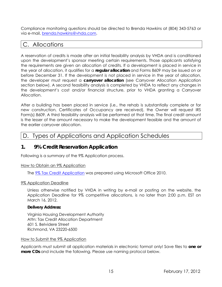Compliance monitoring questions should be directed to Brenda Hawkins at (804) 343-5763 or via e-mail, [brenda.hawkins@vhda.com](mailto:brenda.hawkins@vhda.com).

## <span id="page-17-0"></span>C. Allocations

A reservation of credits is made after an initial feasibility analysis by VHDA and is conditioned upon the development's sponsor meeting certain requirements. Those applicants satisfying the requirements are given an allocation of credits. If a development is placed in service in the year of allocation, it qualifies for a **regular allocation** and Forms 8609 may be issued on or before December 31. If the development is not placed in service in the year of allocation, the developer must request a **carryover allocation** (see Carryover Allocation Application section below). A second feasibility analysis is completed by VHDA to reflect any changes in the development's cost and/or financial structure, prior to VHDA granting a Carryover Allocation.

After a building has been placed in service (i.e., the rehab is substantially complete or for new construction, Certificates of Occupancy are received), the Owner will request IRS Form(s) 8609. A third feasibility analysis will be performed at that time. The final credit amount is the lesser of the amount necessary to make the development feasible and the amount of the earlier carryover allocation.

## <span id="page-17-1"></span>D. Types of Applications and Application Schedules

## <span id="page-17-2"></span>**1. 9% Credit Reservation Application**

Following is a summary of the 9% Application process.

#### <span id="page-17-3"></span>How to Obtain an 9% Application

The **9% Tax Credit Application** was prepared using Microsoft Office 2010.

#### <span id="page-17-4"></span>9% Application Deadline

Unless otherwise notified by VHDA in writing by e-mail or posting on the website, the Application Deadline for 9% competitive allocations, is no later than 2:00 p.m. EST on March 16, 2012.

#### **Delivery Address:**

Virginia Housing Development Authority Attn: Tax Credit Allocation Department 601 S. Belvidere Street Richmond, VA 23220-6500

#### <span id="page-17-5"></span>How to Submit the 9% Application

Applicants must submit all application materials in electronic format only! Save files to **one or more CDs** and include the following. Please use naming protocol below.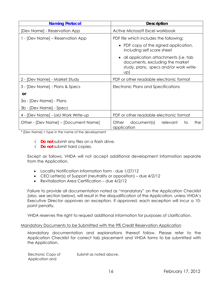| <b>Naming Protocol</b>               | <b>Description</b>                                                                                                          |
|--------------------------------------|-----------------------------------------------------------------------------------------------------------------------------|
| [Dev Name] - Reservation App         | Active Microsoft Excel workbook                                                                                             |
| 1 - [Dev Name] – Reservation App     | PDF file which includes the following:                                                                                      |
|                                      | • PDF copy of the signed application,<br>including self score sheet                                                         |
|                                      | • all application attachments (i.e. tab<br>documents, excluding the market<br>study, plans, specs and/or work write-<br>UP) |
| 2 - [Dev Name] - Market Study        | PDF or other readable electronic format                                                                                     |
| 3 - [Dev Name] - Plans & Specs       | Electronic Plans and Specifications                                                                                         |
| <b>or</b>                            |                                                                                                                             |
| 3a - [Dev Name] - Plans              |                                                                                                                             |
| 3b - [Dev Name] - Specs              |                                                                                                                             |
| 4 - [Dev Name] - UxU Work Write-up   | PDF or other readable electronic format                                                                                     |
| Other - [Dev Name] – [Document Name] | document(s)<br>relevant<br>to<br>Other<br>the<br>application                                                                |

 $*$  [Dev Name] = type in the name of the development

- √ **Do not** submit any files on a flash drive.
- √ **Do not** submit hard copies.

Except as follows, VHDA will not accept additional development information separate from the Application.

- Locality Notification Information form due 1/27/12
- CEO Letter(s) of Support (neutrality or opposition) due 4/2/12
- Revitalization Area Certification due 4/2/12

Failure to provide all documentation noted as "mandatory" on the Application Checklist (also, see section below), will result in the disqualification of the Application, unless VHDA's Executive Director approves an exception. If approved, each exception will incur a 10 point penalty.

VHDA reserves the right to request additional information for purposes of clarification.

#### <span id="page-18-0"></span>Mandatory Documents to be Submitted with the 9% Credit Reservation Application

Mandatory documentation and explanations thereof follow. Please refer to the Application Checklist for correct tab placement and VHDA forms to be submitted with the Application.

| Electronic Copy of | Submit as noted above. |
|--------------------|------------------------|
| Application and    |                        |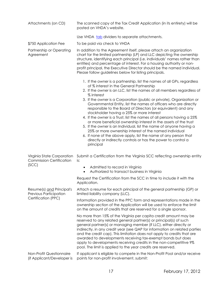| Attachments (on CD)                                                        | The scanned copy of the Tax Credit Application (in its entirety) will be<br>posted on VHDA's website.                                                                                                                                                                                                                                                                                                                                                                                                                                                                                                                                                                                                                                                                                                                                                                                                 |  |  |
|----------------------------------------------------------------------------|-------------------------------------------------------------------------------------------------------------------------------------------------------------------------------------------------------------------------------------------------------------------------------------------------------------------------------------------------------------------------------------------------------------------------------------------------------------------------------------------------------------------------------------------------------------------------------------------------------------------------------------------------------------------------------------------------------------------------------------------------------------------------------------------------------------------------------------------------------------------------------------------------------|--|--|
|                                                                            | Use VHDA tab dividers to separate attachments.                                                                                                                                                                                                                                                                                                                                                                                                                                                                                                                                                                                                                                                                                                                                                                                                                                                        |  |  |
| \$750 Application Fee                                                      | To be paid via check to VHDA                                                                                                                                                                                                                                                                                                                                                                                                                                                                                                                                                                                                                                                                                                                                                                                                                                                                          |  |  |
| Partnership or Operating<br>Agreement                                      | In addition to the Agreement itself, please attach an organization<br>chart for the limited partnership (LP) and LLC depicting the ownership<br>structure, identifying each principal (i.e. individuals' names rather than<br>entities) and percentage of interest. For a housing authority or non-<br>profit principal, the Executive Director should be the named individual.<br>Please follow guidelines below for listing principals.                                                                                                                                                                                                                                                                                                                                                                                                                                                             |  |  |
|                                                                            | 1. If the owner is a partnership, list the names of all GPs, regardless<br>of % interest in the General Partnership<br>2. If the owner is an LLC, list the names of all members regardless of<br>% interest<br>3. If the owner is a Corporation (public or private), Organization or<br>Governmental Entity, list the names of officers who are directly<br>responsible to the Board of Directors (or equivalent) and any<br>stockholder having a 25% or more interest<br>4. If the owner is a Trust, list the names of all persons having a 25%<br>or more beneficial ownership interest in the assets of the trust<br>5. If the owner is an Individual, list the name of anyone having a<br>25% or more ownership interest of the named individual<br>6. If none of the above apply, list the name of any person that<br>directly or indirectly controls or has the power to control a<br>principal |  |  |
| Virginia State Corporation<br><b>Commission Certification</b>              | Submit a Certification from the Virginia SCC reflecting ownership entity<br>is:                                                                                                                                                                                                                                                                                                                                                                                                                                                                                                                                                                                                                                                                                                                                                                                                                       |  |  |
| (SCC)                                                                      | Admitted to record in Virginia<br>٠<br>Authorized to transact business in Virginia<br>$\bullet$                                                                                                                                                                                                                                                                                                                                                                                                                                                                                                                                                                                                                                                                                                                                                                                                       |  |  |
|                                                                            | Request the Certification from the SCC in time to include it with the<br>Application.                                                                                                                                                                                                                                                                                                                                                                                                                                                                                                                                                                                                                                                                                                                                                                                                                 |  |  |
| Resume(s) and Principal's<br>Previous Participation<br>Certification (PPC) | Attach a resume for each principal of the general partnership (GP) or<br>limited liability company (LLC).                                                                                                                                                                                                                                                                                                                                                                                                                                                                                                                                                                                                                                                                                                                                                                                             |  |  |
|                                                                            | Information provided in the PPC form and representations made in the<br>ownership section of the Application will be used to enforce the limit<br>on the amount of credits that are reserved for a single sponsor.                                                                                                                                                                                                                                                                                                                                                                                                                                                                                                                                                                                                                                                                                    |  |  |
|                                                                            | No more than 15% of the Virginia per capita credit amount may be<br>reserved to any related general partner(s) or principal(s) of such<br>general partner(s) or managing member (if LLC), either directly or<br>indirectly, in any credit year (see QAP for information on related parties<br>and the credit cap). This limitation does not apply to credits that are<br>awarded to developments receiving tax-exempt bonds but does<br>apply to developments receiving credits in the non-competitive 9%<br>pool. The limit is applied to the year credits are reserved.                                                                                                                                                                                                                                                                                                                             |  |  |
| Non-Profit Questionnaire<br>(if Applicant/Developer is                     | If applicant is eligible to compete in the Non-Profit Pool and/or receive<br>points for non-profit involvement, submit:                                                                                                                                                                                                                                                                                                                                                                                                                                                                                                                                                                                                                                                                                                                                                                               |  |  |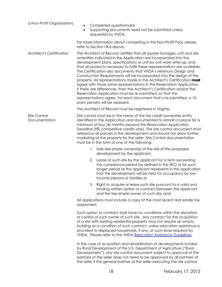| a Non-Profit Organization)       | Completed questionnaire<br>Supporting documents need not be submitted unless<br>$\bullet$<br>requested by VHDA.                                                                                                                                                                                                                                                                                                                                                                                                                                                                                                                                                                                                                                                                                                                                          |  |  |  |
|----------------------------------|----------------------------------------------------------------------------------------------------------------------------------------------------------------------------------------------------------------------------------------------------------------------------------------------------------------------------------------------------------------------------------------------------------------------------------------------------------------------------------------------------------------------------------------------------------------------------------------------------------------------------------------------------------------------------------------------------------------------------------------------------------------------------------------------------------------------------------------------------------|--|--|--|
|                                  | For more information about competing in the Non-Profit Pool, please<br>refer to Section I.B.6 above.                                                                                                                                                                                                                                                                                                                                                                                                                                                                                                                                                                                                                                                                                                                                                     |  |  |  |
| <b>Architect's Certification</b> | The Architect of Record certifies that all square footages, unit and site<br>amenities indicated in the Application are incorporated into the<br>development plans, specifications or unit-by-unit work write-up, and<br>that all products necessary to fulfill these representations are available.<br>The Certification also documents that VHDA's Minimum Design and<br>Construction Requirements will be incorporated into the design of the<br>property. All representations made in the Architect's Certification must<br>agree with those same representations in the Reservation Application.<br>If there are differences, then the Architect's Certification and/or the<br>Reservation Application must be re-submitted, so that the<br>representations agree. For each document that is re-submitted, a 10-<br>point penalty will be assessed. |  |  |  |
|                                  | The Architect of Record must be registered in Virginia.                                                                                                                                                                                                                                                                                                                                                                                                                                                                                                                                                                                                                                                                                                                                                                                                  |  |  |  |
| Site Control<br>Documentation    | Site control must be in the name of the tax credit ownership entity<br>identified in the Application and documented to remain in place for a<br>minimum of four (4) months beyond the Reservation Application<br>Deadline (9% competitive credits only). The site control document must<br>reference all parcels in the development and should not allow further<br>marketing of the property by the seller. Site Control documentation<br>must be in the form of one of the following:                                                                                                                                                                                                                                                                                                                                                                  |  |  |  |
|                                  | Sole fee simple ownership of the site of the proposed<br>1.<br>development by the applicant,                                                                                                                                                                                                                                                                                                                                                                                                                                                                                                                                                                                                                                                                                                                                                             |  |  |  |
|                                  | 2. Lease of such site by the applicant for a term exceeding<br>the compliance period (as defined in the IRC) or for such<br>longer period as the applicant represents in the application<br>that the development will be held for occupancy by low-<br>income persons or families or                                                                                                                                                                                                                                                                                                                                                                                                                                                                                                                                                                     |  |  |  |
|                                  | 3. Right to acquire or lease such site pursuant to a valid and<br>binding written option or contract between the applicant<br>and the fee simple owner of such site; and                                                                                                                                                                                                                                                                                                                                                                                                                                                                                                                                                                                                                                                                                 |  |  |  |
|                                  | All applications must include a copy of the most recent real estate tax<br>assessment.                                                                                                                                                                                                                                                                                                                                                                                                                                                                                                                                                                                                                                                                                                                                                                   |  |  |  |
|                                  | Such option or contract shall have no conditions within the discretion<br>or control of such owner of such site. Any contract for the acquisition<br>of a site with existing residential property may not require an empty<br>building as a condition of such contract, unless relocation assistance is<br>provided to displaced households, if any, at such level required by<br>VHDA. Please refer to the VHDA Relocation Assistance Guidelines.                                                                                                                                                                                                                                                                                                                                                                                                       |  |  |  |
|                                  | In the case of acquisition and rehabilitation of developments funded<br>by Rural Development of the U.S. Department of Agriculture ("Rural<br>Development"), any site control document subject to approval of the<br>partners of the seller does not need to be approved by all partners of<br>the seller if the general partner of the seller executing the site control                                                                                                                                                                                                                                                                                                                                                                                                                                                                                |  |  |  |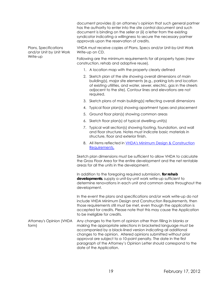|                                                               | document provides (i) an attorney's opinion that such general partner<br>has the authority to enter into the site control document and such<br>document is binding on the seller or (ii) a letter from the existing<br>syndicator indicating a willingness to secure the necessary partner<br>approvals upon the reservation of credits.                                                                                                            |  |  |
|---------------------------------------------------------------|-----------------------------------------------------------------------------------------------------------------------------------------------------------------------------------------------------------------------------------------------------------------------------------------------------------------------------------------------------------------------------------------------------------------------------------------------------|--|--|
| Plans, Specifications<br>and/or Unit by Unit Work<br>Write-up | VHDA must receive copies of Plans, Specs and/or Unit-by-Unit Work<br>Write-up on CD.                                                                                                                                                                                                                                                                                                                                                                |  |  |
|                                                               | Following are the minimum requirements for all property types (new<br>construction, rehab and adaptive reuse).                                                                                                                                                                                                                                                                                                                                      |  |  |
|                                                               | 1. A location map with the property clearly defined                                                                                                                                                                                                                                                                                                                                                                                                 |  |  |
|                                                               | 2. Sketch plan of the site showing overall dimensions of main<br>building(s), major site elements (e.g., parking lots and location<br>of existing utilities, and water, sewer, electric, gas in the streets<br>adjacent to the site). Contour lines and elevations are not<br>required.                                                                                                                                                             |  |  |
|                                                               | 3. Sketch plans of main building(s) reflecting overall dimensions                                                                                                                                                                                                                                                                                                                                                                                   |  |  |
|                                                               | Typical floor plan(s) showing apartment types and placement<br>4.                                                                                                                                                                                                                                                                                                                                                                                   |  |  |
|                                                               | Ground floor plan(s) showing common areas<br>5.                                                                                                                                                                                                                                                                                                                                                                                                     |  |  |
|                                                               | 6. Sketch floor plan(s) of typical dwelling unit(s)                                                                                                                                                                                                                                                                                                                                                                                                 |  |  |
|                                                               | 7. Typical wall section(s) showing footing, foundation, and wall<br>and floor structure. Notes must indicate basic materials in<br>structure, floor and exterior finish.                                                                                                                                                                                                                                                                            |  |  |
|                                                               | 8. All items reflected in VHDA's Minimum Design & Construction<br>Requirements.                                                                                                                                                                                                                                                                                                                                                                     |  |  |
|                                                               | Sketch plan dimensions must be sufficient to allow VHDA to calculate<br>the Gross Floor Area for the entire development and the net rentable<br>areas for all the units in the development.                                                                                                                                                                                                                                                         |  |  |
|                                                               | In addition to the foregoing required submission, for rehab<br>developments, supply a unit-by-unit work write-up sufficient to<br>determine renovations in each unit and common areas throughout the<br>development.                                                                                                                                                                                                                                |  |  |
|                                                               | In the event the plans and specifications and/or work write-up do not<br>include VHDA Minimum Design and Construction Requirements, then<br>those requirements still must be met, even though the application is<br>accepted for credits. Please note that this may cause the Application<br>to be ineligible for credits.                                                                                                                          |  |  |
| Attorney's Opinion (VHDA<br>form)                             | Any changes to the form of opinion other than filling in blanks or<br>making the appropriate selections in bracketed language must be<br>accompanied by a black-lined version indicating all additional<br>changes to the opinion. Altered opinions submitted without prior<br>approval are subject to a 10-point penalty. The date in the first<br>paragraph of the Attorney's Opinion Letter should correspond to the<br>date of the Application. |  |  |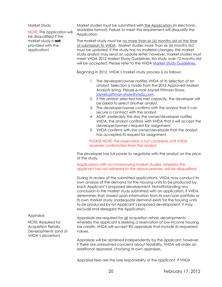Market Study

<span id="page-22-0"></span>NOTE: The application will be disqualified if the market study is **not** provided with the application!

Market studies must be submitted with the Application (in electronic, readable format). Failure to meet this requirement will disqualify the Application.

The market study must be no more than six (6) months old at the time of submission to VHDA. Market studies more than six (6) months old must be updated. If the study has no material changes, the market study analyst may send an update letter; however, market studies must meet VHDA 2012 Market Study Guidelines. No study over 12 months old will be accepted. Please refer to the VHDA [Market Study Guidelines.](http://www.vhda.com/BusinessPartners/MFDevelopers/LIHTCProgram/LowIncome%20Housing%20Tax%20Credit%20Program/2012%20Market%20Study%20Guidelines%20(rev.%2011.2011).pdf)

Beginning in 2012, VHDA's market study process is as follows:

- 1. The developer/owner notifies VHDA of its selection of an analyst. Selection is made from the 2012 Approved Market Analysts listing. Please e-mail Jaynell Pittman-Shaw, [jaynell.pittman-shaw@vhda.com.](mailto:jaynell.pittman-shaw@vhda.com)
- 2. If the analyst selected has met capacity, the developer will be asked to select another analyst.
- 3. The developer/owner confirms with the analyst that it can secure a contract with the analyst.
- 4. ASAP, preferably the day the owner/developer notifies VHDA, the analyst confirms with VHDA that it will accept the developer/owner's request for assignment.
- 5. VHDA confirms with the owner/developer that the analyst has accepted its request for assignment.

PLEASE NOTE, the reservation is not complete until VHDA receives confirmation from the analyst.

The developer has full power to negotiate with the analyst on the price of the study.

Applications with accompanying market studies, whereby the applicant has not adhered to the above process, will be disqualified.

During its review of the submitted applications, VHDA may conduct its own analysis of the demand for the housing units to be produced by each Applicant's proposed development. Notwithstanding any conclusion in the market study submitted with an application, if VHDA determines that, based upon information from its own loan portfolio or its own market study, inadequate demand exists for the housing units to be produced by an Applicant's proposed development, it may exclude and disregard the Application.

#### <span id="page-22-2"></span><span id="page-22-1"></span>Appraisal

<span id="page-22-3"></span>NOTE: Required for Acquisition Rehab Developments (and at VHDA's discretion)

Appraisals are required for all acquisition rehab developments, whereby the applicant is seeking a reservation of low-income housing tax credits. VHDA will accept RD appraisals that include its requested values.

Appraisals will be obtained independently by the applicant; however, if there are unresolved concerns about feasibility, VHDA will order an additional appraisal, choosing its own appraiser.

Appraisal fees are the sole responsibility of the applicant. If VHDA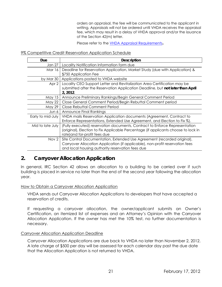orders an appraisal, the fee will be communicated to the applicant in writing. Appraisals will not be ordered until VHDA receives the appraisal fee, which may result in a delay of VHDA approval and/or the issuance of the Section 42(m) letter.

Please refer to the [VHDA Appraisal Requirements](http://www.vhda.com/BusinessPartners/MFDevelopers/LIHTCProgram/LowIncome%20Housing%20Tax%20Credit%20Program/2012AppraisalReq.pdf)**.**

#### 9% Competitive Credit Reservation Application Schedule

| Due               | Description                                                                                                                                                                                                  |
|-------------------|--------------------------------------------------------------------------------------------------------------------------------------------------------------------------------------------------------------|
| Jan 27            | Locality Notification Information form due                                                                                                                                                                   |
| Mar 16            | Deadline for Reservation Application, Market Study (due with Application) &<br>\$750 Application Fee                                                                                                         |
| by Mar 30         | Applications posted to VHDA website                                                                                                                                                                          |
| Apr 2             | Locality CEO Support Letter and Revitalization Area Certification may be<br>submitted after the Reservation Application Deadline, but not later than April<br>2, 2012.                                       |
| May 15            | Announce Preliminary Rankings/Begin General Comment Period                                                                                                                                                   |
| May 22            | Close General Comment Period/Begin Rebuttal Comment period                                                                                                                                                   |
| <b>May 29</b>     | Close Rebuttal Comment Period                                                                                                                                                                                |
| Jun 6             | Announce Final Rankings                                                                                                                                                                                      |
| Early to mid-July | VHDA mails Reservation Application documents (Agreement, Contract to<br>Enforce Representations, Extended Use Agreement, and Election to Fix %).                                                             |
| Mid to late July  | (Fully executed) reservation documents, Contract to Enforce Representation<br>(original), Election to Fix Applicable Percentage (if applicants choose to lock in<br>rate) and for-profit fees due            |
| Nov 2             | Site Control Documentation, Extended Use Agreement (recorded original),<br>Carryover Allocation Application (if applicable), non-profit reservation fees<br>and local housing authority reservation fees due |

## **2. Carryover Allocation Application**

In general, IRC Section 42 allows an allocation to a building to be carried over if such building is placed in service no later than the end of the second year following the allocation year.

How to Obtain a Carryover Allocation Application

VHDA sends out Carryover Allocation Applications to developers that have accepted a reservation of credits.

If requesting a carryover allocation, the owner/applicant submits an Owner's Certification, an itemized list of expenses and an Attorney's Opinion with the Carryover Allocation Application. If the owner has met the 10% test, no further documentation is necessary.

#### Carryover Allocation Application Deadline

Carryover Allocation Applications are due back to VHDA no later than November 2, 2012. A late charge of \$500 per day will be assessed for each calendar day past the due date that the Allocation Application is not returned to VHDA.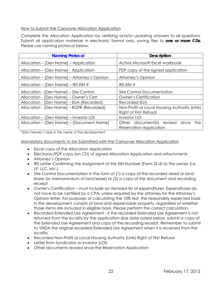#### <span id="page-24-0"></span>How to Submit the Carryover Allocation Application

Complete the Allocation Application by verifying and/or updating answers to all questions. Submit all application materials in electronic format only, saving files to **one or more CDs**. Please use naming protocol below.

| <b>Naming Protocol</b>                       | <b>Description</b>                          |  |  |
|----------------------------------------------|---------------------------------------------|--|--|
| Allocation – [Dev Name] – Application        | Active Microsoft Excel workbook             |  |  |
| Allocation - [Dev Name] - Application        | PDF copy of the signed application          |  |  |
| Allocation – [Dev Name] – Attorney's Opinion | Attorney's Opinion                          |  |  |
| Allocation – [Dev Name] – IRS EIN #          | IRS EIN $#$                                 |  |  |
| Allocation - [Dev Name] – Site Control       | Site Control Documentation                  |  |  |
| Allocation - [Dev Name] – Owner's Cert       | <b>Owner's Certification</b>                |  |  |
| Allocation - [Dev Name] – EUA (Recorded)     | Recorded EUA                                |  |  |
| Allocation - [Dev Name] – ROFR (Recorded)    | Non-Profit or Local Housing Authority (LHA) |  |  |
|                                              | <b>Right of First Refusal</b>               |  |  |
| Allocation – [Dev Name] – Investor LOI       | <b>Investor LOI</b>                         |  |  |
| Allocation – [Dev Name] – [Document Name]    | Other document(s) revised<br>since<br>the   |  |  |
|                                              | <b>Reservation Application</b>              |  |  |

\*[Dev Name] = type in the name of the development

#### <span id="page-24-1"></span>Mandatory documents to be Submitted with the Carryover Allocation Application

- Excel copy of the Allocation Application
- Electronic/PDF copy (on CD) of signed Allocation Application and attachments
- Attorney's Opinion
- IRS Letter Confirming the Assignment of the EIN Number (Form SS-4) to the owner (i.e. LP, LLC, etc.)
- Site Control Documentation in the form of (1) a copy of the recorded deed or land lease (or memorandum of land lease) or (2) a copy of the document and recording receipt
- Owner's Certification must include an itemized list of expenditures. Expenditures do not have to be certified by a CPA, unless required by the attorney for the Attorney's Opinion letter. For purposes of calculating the 10% test, the reasonably expected basis in the development consists of land and depreciable property, regardless of whether those items are included in eligible basis. Please perform the correct calculation.
- Recorded Extended Use Agreement if the recorded Extended Use Agreement is not returned from the locality by the application due date noted below, submit a copy of the Extended Use Agreement and copy of the recording receipt. Remember to submit to VHDA the original recorded Extended Use Agreement when it is received from the locality.
- Recorded Non-Profit or Local Housing Authority (LHA) Right of First Refusal
- Letter from Syndicator or Investor (LOI)
- Other documents revised since the Reservation Application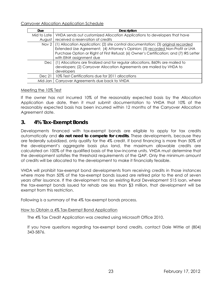<span id="page-25-0"></span>Carryover Allocation Application Schedule

| <b>Due</b>       | <b>Description</b>                                                                                                                                                                                                                                                                          |
|------------------|---------------------------------------------------------------------------------------------------------------------------------------------------------------------------------------------------------------------------------------------------------------------------------------------|
| Mid to Late      | VHDA sends out customized Allocation Applications to developers that have                                                                                                                                                                                                                   |
| August           | received a reservation of credits                                                                                                                                                                                                                                                           |
| Nov <sub>2</sub> | (1) Allocation Application; (2) site control documentation; (3) original recorded<br>Extended Use Agreement; (4) Attorney's Opinion; (5) recorded Non-Profit or LHA<br>Purchase Option or Right of First Refusal; (6) Owner's Certification; and (7) IRS Letter<br>with EIN# assignment due |
| Dec I            | (1) Allocations are finalized and for regular allocations, 8609s are mailed to<br>developers; (2) Carryover Allocation Agreements are mailed by VHDA to<br>developers                                                                                                                       |
| Dec 21           | 10% Test Certifications due for 2011 allocations                                                                                                                                                                                                                                            |
| Mid-Jan          | Carryover Agreements due back to VHDA                                                                                                                                                                                                                                                       |

#### <span id="page-25-1"></span>Meeting the 10% Test

If the owner has not incurred 10% of the reasonably expected basis by the Allocation Application due date, then it must submit documentation to VHDA that 10% of the reasonably expected basis has been incurred within 12 months of the Carryover Allocation Agreement date.

## <span id="page-25-2"></span>**3. 4% Tax-Exempt Bonds**

Developments financed with tax-exempt bonds are eligible to apply for tax credits automatically and **do not need to compete for credits**. These developments, because they are federally subsidized, only qualify for the 4% credit. If bond financing is more than 50% of the development's aggregate basis plus land, the maximum allowable credits are calculated on 100% of the qualified basis of the low-income units. VHDA must determine that the development satisfies the threshold requirements of the QAP. Only the minimum amount of credits will be allocated to the development to make it financially feasible.

VHDA will prohibit tax-exempt bond developments from receiving credits in those instances where more than 50% of the tax-exempt bonds issued are retired prior to the end of seven years after issuance. If the development has an existing Rural Development 515 loan, where the tax-exempt bonds issued for rehab are less than \$3 million, that development will be exempt from this restriction.

Following is a summary of the 4% tax-exempt bonds process.

#### <span id="page-25-3"></span>How to Obtain a 4% Tax-Exempt Bond Application

The 4% Tax Credit Application was created using Microsoft Office 2010.

If you have questions regarding tax-exempt bond credits, contact Dale Wittie at (804) 343-5876.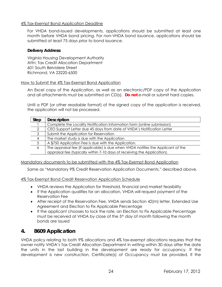#### <span id="page-26-0"></span>4% Tax-Exempt Bond Application Deadline

For VHDA bond-issued developments, applications should be submitted at least one month before VHDA bond pricing. For non-VHDA bond issuance, applications should be submitted at least 75 days prior to bond issuance.

#### **Delivery Address:**

Virginia Housing Development Authority Attn: Tax Credit Allocation Department 601 South Belvidere Street Richmond, VA 23220-6500

#### <span id="page-26-1"></span>How to Submit the 4% Tax-Exempt Bond Application

An Excel copy of the Application, as well as an electronic/PDF copy of the Application and all attachments must be submitted on CD(s). **Do not** e-mail or submit hard copies.

Until a PDF (or other readable format) of the signed copy of the application is received, the application will not be processed.

| <b>Step</b> | <b>Description</b>                                                               |
|-------------|----------------------------------------------------------------------------------|
|             | Complete the Locality Notification Information form (online submission)          |
| 2           | CEO Support Letter due 45 days from date of VHDA's Notification Letter           |
| 3           | Submit the Application for Reservation                                           |
| 4           | The market study is due with the Application                                     |
|             | A \$750 Application Fee is due with the Application.                             |
| 6           | The appraisal fee (if applicable) is due when VHDA notifies the Applicant of the |
|             | appraisal fee (typically within 7-10 days of receiving the Application).         |

#### <span id="page-26-2"></span>Mandatory documents to be submitted with the 4% Tax-Exempt Bond Application

Same as "Mandatory 9% Credit Reservation Application Documents," described above.

#### <span id="page-26-3"></span>4% Tax-Exempt Bond Credit Reservation Application Schedule

- VHDA reviews the Application for threshold, financial and market feasibility
- If the Application qualifies for an allocation, VHDA will request payment of the Reservation Fee
- After receipt of the Reservation Fee, VHDA sends Section 42(m) letter, Extended Use Agreement and Election to Fix Applicable Percentage
- If the applicant chooses to lock the rate, an Election to Fix Applicable Percentage must be received at VHDA by close of the 5<sup>th</sup> day of month following the month bonds are issued

## <span id="page-26-4"></span>**4. 8609 Application**

VHDA policy relating to both 9% allocations and 4% tax-exempt allocations requires that the owner notify VHDA's Tax Credit Allocation Department in writing within 30 days after the date the units in the last building in the development are ready for occupancy. If the development is new construction, Certificate(s) of Occupancy must be provided. If the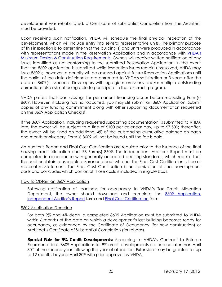development was rehabilitated, a Certificate of Substantial Completion from the Architect must be provided.

Upon receiving such notification, VHDA will schedule the final physical inspection of the development, which will include entry into several representative units. The primary purpose of this inspection is to determine that the building(s) and units were produced in accordance with representations made in the Reservation Application and in accordance with [VHDA's](http://www.vhda.com/BusinessPartners/MFDevelopers/MF-LoanApplication-Guides/MF%20Loan%20Applications%20and%20Guides/2012MinDesignConRequirements.pdf)  [Minimum Design & Construction Requirements.](http://www.vhda.com/BusinessPartners/MFDevelopers/MF-LoanApplication-Guides/MF%20Loan%20Applications%20and%20Guides/2012MinDesignConRequirements.pdf) Owners will receive written notification of any issues identified as not conforming to the submitted Reservation Application. In the event that the 8609 application is submitted while inspection issues remain unresolved, VHDA may issue 8609's; however, a penalty will be assessed against future Reservation Applications until the earlier of the date deficiencies are corrected to VHDA's satisfaction or 3 years after the date of 8609(s) issuance. Developers with egregious omissions and/or multiple outstanding corrections also risk not being able to participate in the tax credit program.

VHDA prefers that loan closings for permanent financing occur before requesting Form(s) 8609. However, if closing has not occurred, you may still submit an 8609 Application. Submit copies of any funding commitment along with other supporting documentation requested on the 8609 Application Checklist.

If the 8609 Application, including requested supporting documentation, is submitted to VHDA late, the owner will be subject to a fine of \$100 per calendar day, up to \$7,500; thereafter, the owner will be fined an additional 4% of the outstanding cumulative balance on each one-month anniversary. Form(s) 8609 will not be issued until the fee is paid.

An Auditor's Report and Final Cost Certification are required prior to the issuance of the final housing credit allocation and IRS Form(s) 8609. The Independent Auditor's Report must be completed in accordance with generally accepted auditing standards, which require that the auditor obtain reasonable assurance about whether the Final Cost Certification is free of material misstatement. The Final Cost Certification is an itemization of final development costs and concludes which portion of those costs is included in eligible basis.

#### <span id="page-27-0"></span>How to Obtain an 8609 Application

Following notification of readiness for occupancy to VHDA's Tax Credit Allocation Department, the owner should download and complete the [8609 Application,](http://www.vhda.com/BusinessPartners/MFDevelopers/MF-LoanApplication-Guides/LIHTC%20Applications%20and%20Forms/Ind-Auditors-Report.pdf)  [Independent Auditor's Report](http://www.vhda.com/BusinessPartners/MFDevelopers/MF-LoanApplication-Guides/LIHTC%20Applications%20and%20Forms/Ind-Auditors-Report.pdf) form and [Final Cost Certification](http://www.vhda.com/BusinessPartners/MFDevelopers/MF-LoanApplication-Guides/LIHTC%20Applications%20and%20Forms/8609Schedule-FinalCost-Basis.xls) form.

#### <span id="page-27-1"></span>8609 Application Deadline

For both 9% and 4% deals, a completed 8609 Application must be submitted to VHDA within 6 months of the date on which a development's last building becomes ready for occupancy, as evidenced by the Certificate of Occupancy (for new construction) or Architect's Certificate of Substantial Completion (for rehabs).

**Special Rule for 9% Credit Developments:** According to VHDA's Contract to Enforce Representations, 8609 Applications for 9% credit developments are due no later than April 30<sup>th</sup> of the second year following the year of allocation. Extensions may be granted for up to 12 months beyond April 30<sup>th</sup> with prior approval by VHDA.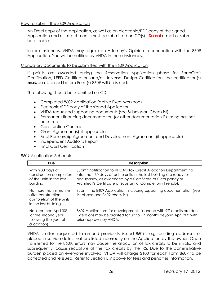#### <span id="page-28-0"></span>How to Submit the 8609 Application

An Excel copy of the Application, as well as an electronic/PDF copy of the signed Application and all attachments must be submitted on CD(s). **Do not** e-mail or submit hard copies.

In rare instances, VHDA may require an Attorney's Opinion in connection with the 8609 Application. You will be notified by VHDA in those instances.

#### <span id="page-28-1"></span>Mandatory Documents to be submitted with the 8609 Application

If points are awarded during the Reservation Application phase for EarthCraft Certification, LEED Certification and/or Universal Design Certification, the certification(s) **must** be obtained before Form(s) 8609 will be issued.

The following should be submitted on CD:

- Completed 8609 Application (active Excel workbook)
- Electronic/PDF copy of the signed Application
- VHDA-requested supporting documents (see Submission Checklist)
- Permanent financing documentation (or other documentation if closing has not occurred)
- Construction Contract
- Grant Agreement(s), if applicable
- Final Partnership Agreement and Development Agreement (if applicable)
- Independent Auditor's Report
- Final Cost Certification

#### <span id="page-28-2"></span>8609 Application Schedule

| <b>Due</b>                                                                                          | <b>Description</b>                                                                                                                                                                                                                                                      |
|-----------------------------------------------------------------------------------------------------|-------------------------------------------------------------------------------------------------------------------------------------------------------------------------------------------------------------------------------------------------------------------------|
| Within 30 days of<br>construction completion<br>of the units in the last<br>building                | Submit notification to VHDA's Tax Credit Allocation Department no<br>later than 30 days after the units in the last building are ready for<br>occupancy, as evidenced by a Certificate of Occupancy or<br>Architect's Certificate of Substantial Completion (if rehab). |
| No more than 6 months<br>after construction<br>completion of the units<br>in the last building      | Submit the 8609 Application, including supporting documentation (see<br>list above and 8609 checklist).                                                                                                                                                                 |
| No later than April 30 <sup>th</sup><br>(of the second year<br>following the year of<br>allocation) | 8609 Applications for developments financed with 9% credits are due.<br>Extensions may be granted for up to 12 months beyond April 30 <sup>th</sup> with<br>prior approval by VHDA.                                                                                     |

VHDA is often requested to amend previously issued 8609s, e.g. building addresses or placed-in-service dates that are listed incorrectly on the Application by the owner. Once transferred to the 8609, errors may cause the allocation of tax credits to be invalid and subsequently, cause recapture of the tax credits by the IRS. Due to the administrative burden placed on everyone involved, VHDA will charge \$100 for each Form 8609 to be corrected and reissued. Refer to Section B.9 above for fees and penalties information.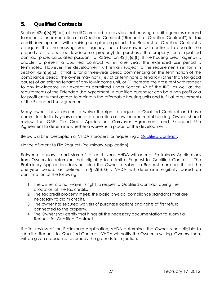## <span id="page-29-0"></span>**5. Qualified Contracts**

Section 42(h)(6)(E)(i)(II) of the IRC created a provision that housing credit agencies respond to requests for presentation of a Qualified Contract ("Request for Qualified Contract") for tax credit developments with expiring compliance periods. The Request for Qualified Contract is a request that the housing credit agency find a buyer (who will continue to operate the property as a qualified low-income property) to purchase the property for a qualified contract price, calculated pursuant to IRS Section 42(h)(6)(F). If the housing credit agency is unable to present a qualified contract within one year, the extended use period is terminated. However, the development will remain subject to the requirements set forth in Section 42(h)(6)(E)(ii); that is, for a three-year period commencing on the termination of the compliance period, the owner may not (i) evict or terminate a tenancy (other than for good cause) of an existing tenant of any low-income unit, or (ii) increase the gross rent with respect to any low-income unit except as permitted under Section 42 of the IRC, as well as the requirements of the Extended Use Agreement. A qualified purchaser can be a non-profit or a for-profit entity that agrees to maintain the affordable housing units and fulfill all requirements of the Extended Use Agreement.

Many owners have chosen to waive the right to request a Qualified Contract and have committed to thirty years or more of operation as low-income rental housing. Owners should review the QAP, Tax Credit Application, Carryover Agreement, and Extended Use Agreement to determine whether a waiver is in place for the development.

Below is a brief description of VHDA's process for requesting a [Qualified Contract](http://www.vhda.com/BusinessPartners/MFDevelopers/MF-LoanApplication-Guides/LIHTC%20Applications%20and%20Forms/Year15-Qualified-Contracts.pdf).

#### Notice of Intent to File Request (Preliminary Application)

Between January 1 and March 1 of each year, VHDA will accept Preliminary Applications from Owners to determine their eligibility to submit a Request for Qualified Contract. The Preliminary Application does not bind the Owner to submit a Request, nor does it start the one-year period, as defined in §42(h)(6)(I). VHDA will determine eligibility based on confirmation of the following:

- 1. The owner did not waive its right to request a Qualified Contract during the allocation of the tax credits.
- 2. The tax credit property meets the basic physical compliance standards that are necessary to claim credits.
- 3. The owner has secured waivers of purchase options and rights of first refusal connected to the property.
- 4. The Owner shall certify that it has all the necessary documentation to submit a Request for Qualified Contract.

If after review of the Preliminary Application, VHDA determines the Owner is not eligible to submit a Request for Qualified Contract, VHDA will notify the Owner in writing. Owners, then, will be given a deadline to remedy the grounds for rejection.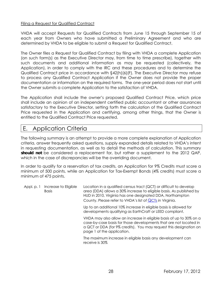#### Filing a Request for Qualified Contract

VHDA will accept Requests for Qualified Contracts from June 15 through September 15 of each year from Owners who have submitted a Preliminary Agreement and who are determined by VHDA to be eligible to submit a Request for Qualified Contract.

The Owner files a Request for Qualified Contract by filing with VHDA a complete Application (on such form(s) as the Executive Director may, from time to time prescribe), together with such documents and additional information as may be requested (collectively, the Application), in order to comply with the IRC and these procedures and to determine the Qualified Contract price in accordance with §42(h)(6)(F). The Executive Director may refuse to process any Qualified Contract Application if the Owner does not provide the proper documentation or information on the required forms. The one-year period does not start until the Owner submits a complete Application to the satisfaction of VHDA.

The Application shall include the owner's proposed Qualified Contract Price, which price shall include an opinion of an independent certified public accountant or other assurances satisfactory to the Executive Director, setting forth the calculation of the Qualified Contract Price requested in the Application and certifying, among other things, that the Owner is entitled to the Qualified Contract Price requested.

## <span id="page-30-0"></span>E. Application Criteria

The following summary is an attempt to provide a more complete explanation of Application criteria, answer frequently asked questions, supply expanded details related to VHDA's intent in requesting documentation, as well as to detail the methods of calculation. This summary **should not** be considered a replacement for, but rather a supplement to the 2012 QAP, which in the case of discrepancies will be the overriding document.

In order to qualify for a reservation of tax credits, an Application for 9% Credits must score a minimum of 500 points, while an Application for Tax-Exempt Bonds (4% credits) must score a minimum of 475 points.

| Appl. p. 1 | Increase to Eligible<br><b>Basis</b> | Location in a qualified census tract (QCT) or difficult to develop<br>area (DDA) allows a 30% increase to eligible basis. As published by<br>HUD in 2010, Virginia has one designated DDA, Northampton<br>County. Please refer to VHDA's list of QCTs in Virginia. |
|------------|--------------------------------------|--------------------------------------------------------------------------------------------------------------------------------------------------------------------------------------------------------------------------------------------------------------------|
|            |                                      | Up to an additional 10% increase in eligible basis is allowed for<br>developments qualifying as EarthCraft or LEED compliant.                                                                                                                                      |
|            |                                      | VHDA may also allow an increase in eligible basis of up to 30% on a<br>case-by-case basis for those developments that are not located in<br>a QCT or DDA (for 9% credits). You may request this designation on<br>page 1 of the application.                       |
|            |                                      | The maximum increase in eligible basis any development can<br>receive is 30%                                                                                                                                                                                       |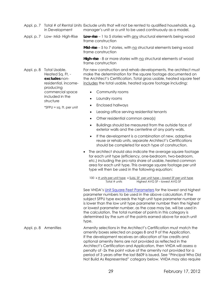- Appl. p. 7 Total # of Rental Units Exclude units that will not be rented to qualified households, e.g. in Development manager's unit or a unit to be used continuously as a model.
- Appl. p. 7 Low- Mid- High-Rise **Low-rise** 1 to 5 stories with any structural elements being wood frame construction

**Mid-rise** – 5 to 7 stories, with no structural elements being wood frame construction

**High-rise** - 8 or more stories with no structural elements of wood frame construction

Appl. p. 8 Total Usable, Heated Sq. Ft. **excludes** nonresidential, incomeproducing For new construction and rehab developments, the architect must make the determination for the square footage documented on the Architect's Certification. Total gross usable, heated square feet includes the total usable, heated square footage including:

- Community rooms
- Laundry rooms

commercial space included in the structure

<span id="page-31-0"></span>\*SFPU = sq. ft. per unit

- Enclosed hallways
- Leasing office serving residential tenants
- Other residential common area(s)
- Buildings should be measured from the outside face of exterior walls and the centerline of any party walls.
- If the development is a combination of new, adaptive reuse or rehab units, separate Architect's Certifications should be completed for each type of construction.
- The architect should also indicate the average square footage for each unit type (efficiency, one-bedroom, two-bedroom, etc.) including the pro rata share of usable, heated common area for each unit type. This average square footage per unit type will then be used in the following equation:

100  $x$   $\#$  units per unit type  $x$  Subj. SF per unit type – lowest SF per unit type Total # units Highest AVG SF – lowest AVG SF

See VHDA's [Unit Square Feet Parameters](http://www.vhda.com/BusinessPartners/MFDevelopers/MF-LoanApplication-Guides/LIHTC%20Reference%20Documents%20and%20Forms/2012UnitSqFeetParameters.pdf) for the lowest and highest parameter numbers to be used in the above calculation. If the subject SFPU type exceeds the high unit type parameter number or is lower than the low unit type parameter number then the highest or lowest parameter number, as the case may be, will be used in the calculation. The total number of points in this category is determined by the sum of the points earned above for each unit type.

Appl. p. 8 Amenities Amenity selections in the Architect's Certification must match the amenity boxes selected on pages 8 and 9 of the Application. If the development receives an allocation of tax credits and optional amenity items are not provided as reflected in the Architect's Certification and Application, then VHDA will assess a penalty of -2x the point value of the amenity not provided for a period of 3 years after the last 8609 is issued. See "Principal Who Did Not Build As Represented" category below. VHDA may also require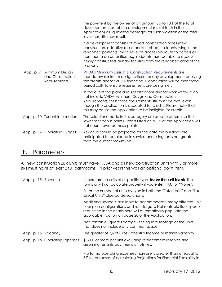|            |                                                    | the payment by the owner of an amount up to 10% of the total<br>development cost of the development (as set forth in the<br>Application) as liquidated damages for such violation or the total<br>loss of credits may result.                                                                                                                           |
|------------|----------------------------------------------------|---------------------------------------------------------------------------------------------------------------------------------------------------------------------------------------------------------------------------------------------------------------------------------------------------------------------------------------------------------|
|            |                                                    | If a development consists of mixed construction types (new<br>construction, adaptive reuse and/or rehab), residents living in the<br>rehabbed portion(s) must have an accessible route to access all<br>common area amenities, e.g. residents must be able to access<br>newly constructed laundry facilities from the rehabbed area of the<br>property. |
| Appl. p. 9 | Minimum Design<br>and Construction<br>Requirements | VHDA's Minimum Design & Construction Requirements are<br>mandatory minimum design criteria for any development receiving<br>tax credits and/or VHDA financing. Construction will be monitored<br>periodically to ensure requirements are being met.                                                                                                     |
|            |                                                    | In the event the plans and specifications and/or work write-up do<br>not include VHDA Minimum Design and Construction<br>Requirements, then those requirements still must be met, even<br>though the application is accepted for credits. Please note that<br>this may cause the Application to be ineligible for credits.                              |
|            | Appl. p. 10 Tenant Information                     | The selections made in this category are used to determine the<br>lower rent bonus points. Rents listed on p. 15 of the Application will<br>not count towards these points.                                                                                                                                                                             |
|            | Appl. p. 14 Operating Budget                       | Revenue should be projected for the date the buildings are<br>anticipated to be placed in service and using rents not greater<br>than the current maximums.                                                                                                                                                                                             |

## F. Parameters

All new construction 2BR units must have 1.5BA and all new construction units with 3 or more BRs must have at least 2 full bathrooms. In prior years this was an optional point item.

| Appl. p. 15 Revenue            | If there are no units of a specific type, leave the cell blank. The<br>formula will not calculate properly if you enter "NA" or "None".                                                                                                                        |  |  |
|--------------------------------|----------------------------------------------------------------------------------------------------------------------------------------------------------------------------------------------------------------------------------------------------------------|--|--|
|                                | Enter the number of units by type in both the "Total Units" and "Tax<br>Credit Units" blue-bordered charts.                                                                                                                                                    |  |  |
|                                | Additional space is available to accommodate many different unit<br>floor plan configurations and rent targets. Net rentable floor space<br>requested in the charts here will automatically populate the<br>applicable fraction on page 20 of the Application. |  |  |
|                                | Net Rentable Square Footage - the square footage of the units<br>that does not include any common space.                                                                                                                                                       |  |  |
| Appl. p. 15 Vacancy            | The greater of 7% of Gross Potential Income or market vacancy                                                                                                                                                                                                  |  |  |
| Appl. p. 16 Operating Expenses | \$3,800 or more per unit excluding replacement reserves and<br>assuming tenants pay their own utilities.                                                                                                                                                       |  |  |
|                                | Pro forma operating expenses increase is greater than or equal to<br>3% for purposes of calculating Projections for Financial Feasibility in                                                                                                                   |  |  |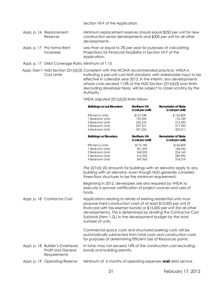Section VII-F of the Application.

- Appl. p. 16 Replacement Reserves Minimum replacement reserves should equal \$250 per unit for new construction senior developments and \$300 per unit for all other developments.
- Appl. p. 17 Pro forma Rent Increases Less than or equal to 2% per year for purposes of calculating Projections for Financial Feasibility in Section VII-F of the Application.
- Appl. p. 17 Debt Coverage Ratio Minimum of 1.15
- Appl. Gen'l HUD Section 221(d)(3) Consistent with the NCSHA recommended practice, VHDA is Cost Limits instituting a per unit cost limit standard, with stakeholder input to be effective in calendar year 2013. In the interim, any developments whose costs exceed 115% of the HUD Section 221(d)(3) loan limits (excluding developer fees), will be subject to closer scrutiny by the Authority.

#### VHDA adjusted 221(d)(3) limits follow:

|        |                                                                                                                                                                                                                                                          | <b>Buildings w/out Elevators</b>                                                                                                                                                                  | Northern VA<br>(cost per unit)                        | Remainder of State<br>(cost per unit)                                                                                                    |
|--------|----------------------------------------------------------------------------------------------------------------------------------------------------------------------------------------------------------------------------------------------------------|---------------------------------------------------------------------------------------------------------------------------------------------------------------------------------------------------|-------------------------------------------------------|------------------------------------------------------------------------------------------------------------------------------------------|
|        |                                                                                                                                                                                                                                                          | <b>Efficiency Units</b><br>1 Bedroom Units<br>2 Bedroom Units<br>3 Bedroom Units<br>4 Bedroom Units                                                                                               | \$167,038<br>192,596<br>232,276<br>297,321<br>331,226 | \$152,809<br>176,189<br>212,490<br>271,993<br>303,011                                                                                    |
|        |                                                                                                                                                                                                                                                          | <b>Buildings w/Elevators</b>                                                                                                                                                                      | Northern VA<br>(cost per unit)                        | <b>Remainder of State</b><br>(cost per unit)                                                                                             |
|        |                                                                                                                                                                                                                                                          | <b>Efficiency Units</b><br>1 Bedroom Units<br>2 Bedroom Units<br>3 Bedroom Units<br>4 Bedroom Units<br>The 221(d) (3) amounts for buildings with an elevator apply to any                         | \$175,783<br>201,509<br>245,033<br>316,993<br>347,960 | \$160,809<br>184,343<br>224,160<br>289,990<br>318,319                                                                                    |
|        |                                                                                                                                                                                                                                                          | building with an elevator, even though HUD generally considers<br>three-floor structures to be the minimum requirement.                                                                           |                                                       |                                                                                                                                          |
|        |                                                                                                                                                                                                                                                          | Beginning in 2012, developers are also required by VHDA to<br>execute a sponsor certification of project sources and uses of<br>funds.                                                            |                                                       |                                                                                                                                          |
|        | Appl. p. 18 Contractor Cost<br>Applications relating to rehab of existing residential units must<br>propose hard construction costs of at least \$10,000 per unit (if<br>Subtotal (Item 1.Q.) in the development budget by the total<br>number of units. |                                                                                                                                                                                                   |                                                       | financed with tax-exempt bonds) or \$15,000 per unit (for all other<br>developments). This is determined by dividing the Contractor Cost |
|        |                                                                                                                                                                                                                                                          | Commercial space costs and structured parking costs will be<br>automatically subtracted from total costs and construction costs<br>for purposes of determining Efficient Use of Resources points. |                                                       |                                                                                                                                          |
|        | Appl. p. 18 Builder's Overhead,<br><b>Profit and General</b><br>Requirements                                                                                                                                                                             | In total, may not exceed 14% of the construction cost excluding<br>bonds and building permits.                                                                                                    |                                                       |                                                                                                                                          |
| $\sim$ | $\sim$ $\sim$ $\sim$ $\sim$                                                                                                                                                                                                                              | $\sim$ $\sim$ $\sim$ $\sim$ $\sim$ $\sim$ $\sim$ $\sim$                                                                                                                                           |                                                       |                                                                                                                                          |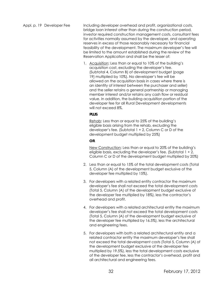<span id="page-34-1"></span><span id="page-34-0"></span>Appl. p. 19 Developer Fee Including developer overhead and profit, organizational costs, bridge loan interest other than during the construction period, investor required construction management costs, consultant fees for activities normally assumed by the developer, and operating reserves in excess of those reasonably necessary for financial feasibility of the development. The maximum developer's fee will be limited to the amount established during the review of the Reservation Application and shall be the lesser of:

> 1. Acquisition: Less than or equal to 10% of the building's acquisition cost, excluding the developer's fee. (Subtotal 4, Column B) of development budget (page 19) multiplied by 10%). No developer's fee will be allowed on the acquisition basis in cases where there is an identity of interest between the purchaser and seller) and the seller retains a general partnership or managing member interest and/or retains any cash flow or residual value. In addition, the building acquisition portion of the developer fee for all Rural Development developments will not exceed 8%.

#### **PLUS**

Rehab: Less than or equal to 25% of the building's eligible basis arising from the rehab, excluding the developer's fee. (Subtotal 1 + 2, Column C or D of the development budget multiplied by 25%)

#### **OR**

New Construction: Less than or equal to 20% of the building's eligible basis, excluding the developer's fee. (Subtotal 1 + 2, Column C or D of the development budget multiplied by 20%)

- 2. Less than or equal to 15% of the total development costs (Total 5, Column (A) of the development budget exclusive of the developer fee multiplied by 15%).
- 3. For developers with a related entity contractor the maximum developer's fee shall not exceed the total development costs (Total 5, Column (A) of the development budget exclusive of the developer fee multiplied by 18%), less the contractor's overhead and profit.
- 4. For developers with a related architectural entity the maximum developer's fee shall not exceed the total development costs (Total 5, Column (A) of the development budget exclusive of the developer fee multiplied by 16.5%), less the architectural and engineering fees.
- 5. For developers with both a related architectural entity and a related contractor entity the maximum developer's fee shall not exceed the total development costs (Total 5, Column (A) of the development budget exclusive of the developer fee multiplied by 19.5%), less the total development costs exclusive of the developer fee, less the contractor's overhead, profit and all architectural and engineering fees.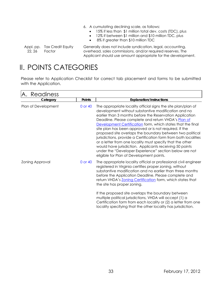- 6. A cumulating declining scale, as follows:
	- 15% if less than \$1 million total dev. costs (TDC), plus
	- 12% if between \$1 million and \$10 million TDC, plus
	- 8% if greater than \$10 million TDC

Appl. pp. Tax Credit Equity 22, 26 Factor

Generally does not include syndication, legal, accounting, overhead, sales commissions, and/or required reserves. The Applicant should use amount appropriate for the development.

# II. POINTS CATEGORIES

Please refer to Application Checklist for correct tab placement and forms to be submitted with the Application.

| <b>Points</b><br><b>Explanation/Instructions</b><br>0 or 40<br>The appropriate locality official signs the site plan/plan of<br>development without substantive modification and no<br>earlier than 3 months before the Reservation Application<br>Deadline. Please complete and return VHDA's Plan of<br>Development Certification form, which states that the final                                                                                                                                                                        |
|----------------------------------------------------------------------------------------------------------------------------------------------------------------------------------------------------------------------------------------------------------------------------------------------------------------------------------------------------------------------------------------------------------------------------------------------------------------------------------------------------------------------------------------------|
|                                                                                                                                                                                                                                                                                                                                                                                                                                                                                                                                              |
| site plan has been approved or is not required. If the<br>proposed site overlaps the boundary between two political<br>jurisdictions, provide a Certification form from both localities<br>or a letter from one locality must specify that the other<br>would have jurisdiction. Applicants receiving 50 points<br>under the "Developer Experience" section below are not<br>eligible for Plan of Development points.                                                                                                                        |
| The appropriate locality official or professional civil engineer<br>0 or 40<br>registered in Virginia certifies proper zoning, without<br>substantive modification and no earlier than three months<br>before the Application Deadline. Please complete and<br>return VHDA's Zoning Certification form, which states that<br>the site has proper zoning.<br>If the proposed site overlaps the boundary between<br>multiple political jurisdictions, VHDA will accept (1) a<br>Certification form from each locality or (2) a letter from one |
|                                                                                                                                                                                                                                                                                                                                                                                                                                                                                                                                              |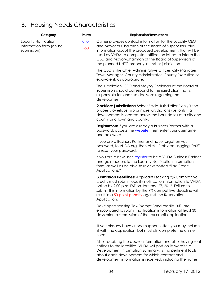# <span id="page-36-0"></span>B. Housing Needs Characteristics

| Category                                                         | Points         | <b>Explanation/Instructions</b>                                                                                                                                                                                                                                                                                                                               |
|------------------------------------------------------------------|----------------|---------------------------------------------------------------------------------------------------------------------------------------------------------------------------------------------------------------------------------------------------------------------------------------------------------------------------------------------------------------|
| Locality Notification<br>Information form (online<br>submission) | 0, or<br>$-50$ | Owner provides contact information for the Locality CEO<br>and Mayor or Chairman of the Board of Supervisors, plus<br>information about the proposed development, that will be<br>used by VHDA to complete notification letters to inform the<br>CEO and Mayor/Chairman of the Board of Supervisors of<br>the planned LIHTC property in his/her jurisdiction. |
|                                                                  |                | The CEO is the Chief Administrative Officer, City Manager,<br>Town Manager, County Administrator, County Executive or<br>equivalent, as appropriate.                                                                                                                                                                                                          |
|                                                                  |                | The jurisdiction, CEO and Mayor/Chairman of the Board of<br>Supervisors should correspond to the jurisdiction that is<br>responsible for land use decisions regarding the<br>development.                                                                                                                                                                     |
|                                                                  |                | 2 or More Jurisdictions: Select "Add Jurisdiction" only if the<br>property overlaps two or more jurisdictions (i.e. only if a<br>development is located across the boundaries of a city and<br>county or a town and county.                                                                                                                                   |
|                                                                  |                | Registration: If you are already a Business Partner with a<br>password, access the website, then enter your username<br>and password.                                                                                                                                                                                                                         |
|                                                                  |                | If you are a Business Partner and have forgotten your<br>password, to VHDA.org, then click "Problems Logging On?"<br>to reset your password.                                                                                                                                                                                                                  |
|                                                                  |                | If you are a new user, register to be a VHDA Business Partner<br>and gain access to the Locality Notification Information<br>form, as well as be able to review posted "Tax Credit<br>Applications."                                                                                                                                                          |
|                                                                  |                | <b>Submission Deadlines: Applicants seeking 9% Competitive</b><br>credits must submit locality notification information to VHDA<br>online by 2:00 p.m. EST on January 27, 2012. Failure to<br>submit this information by the 9% competitive deadline will<br>result in a 50-point penalty against the Reservation<br>Application.                             |
|                                                                  |                | Developers seeking Tax-Exempt Bond credits (4%) are<br>encouraged to submit notification information at least 30<br>days prior to submission of the tax credit application.                                                                                                                                                                                   |
|                                                                  |                | If you already have a local support letter, you may include<br>it with the application, but must still complete the online<br>form.                                                                                                                                                                                                                           |
|                                                                  |                | After receiving the above information and after having sent<br>notices to the localities, VHDA will post on its website a<br>Development Information Summary, listing pertinent facts                                                                                                                                                                         |

about each development for which contact and

development information is received, including the name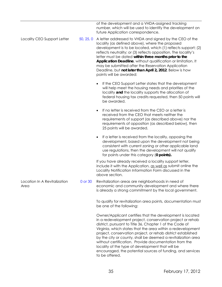of the development and a VHDA-assigned tracking number, which will be used to identify the development on future Application correspondence. Locality CEO Support Letter  $\qquad 50, 25, 0$  A letter addressed to VHDA and signed by the CEO of the locality (as defined above), where the proposed development is to be located, which (1) reflects support; (2) reflects neutrality; or (3) reflects opposition. The locality's letter must be dated **within three months prior to the Application Deadline**, without qualification or limitation. It may be submitted after the Reservation Application Deadline, but **not later than April 2, 2012**. Below is how points will be awarded: If the CEO Support Letter states that the development will help meet the housing needs and priorities of the locality **and** the locality supports the allocation of federal housing tax credits requested, then 50 points will be awarded. If no letter is received from the CEO or a letter is received from the CEO that meets neither the requirements of support (as described above) nor the requirements of opposition (as described below), then 25 points will be awarded. If a letter is received from the locality, opposing the development, based upon the development not being consistent with current zoning or other applicable land use regulations, then the development will not qualify for points under this category (**0 points).** If you have already received a locality support letter, include it with the Application, as well as submit online the Locality Notification Information Form discussed in the above section. Location In A Revitalization Area 0 or 30 Revitalization areas are neighborhoods in need of economic and community development and where there is already a strong commitment by the local government. To qualify for revitalization area points, documentation must be one of the following: Owner/Applicant certifies that the development is located in a redevelopment project, conservation project or rehab district, pursuant to Title 36, Chapter 1 of the Code of Virginia, which states that the area within a redevelopment project, conservation project, or rehab district established by the city or county, shall be deemed a revitalization area without certification. Provide documentation from the locality of the type of development that will be encouraged, the potential sources of funding, and services to be offered.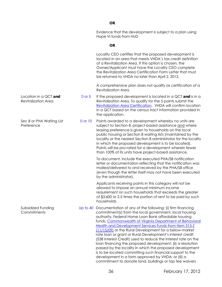|                                                     |            | Evidence that the development is subject to a plan using<br>Hope VI funds from HUD                                                                                                                                                                                                                                                                                                                                                                                                                                                                                                                                                                                                                                                    |
|-----------------------------------------------------|------------|---------------------------------------------------------------------------------------------------------------------------------------------------------------------------------------------------------------------------------------------------------------------------------------------------------------------------------------------------------------------------------------------------------------------------------------------------------------------------------------------------------------------------------------------------------------------------------------------------------------------------------------------------------------------------------------------------------------------------------------|
|                                                     |            | <b>OR</b>                                                                                                                                                                                                                                                                                                                                                                                                                                                                                                                                                                                                                                                                                                                             |
|                                                     |            | Locality CEO certifies that the proposed development is<br>located in an area that meets VHDA's tax credit definition<br>of a Revitalization Area. If this option is chosen, the<br>Owner/Applicant must have the Locality CEO complete<br>the Revitalization Area Certification Form Letter that must<br>be returned to VHDA no later than April 2, 2012.                                                                                                                                                                                                                                                                                                                                                                            |
|                                                     |            | A comprehensive plan does not qualify as certification of a<br>Revitalization Area.                                                                                                                                                                                                                                                                                                                                                                                                                                                                                                                                                                                                                                                   |
| Location in a QCT and<br><b>Revitalization Area</b> | 0 or 5     | If the proposed development is located in a QCT and is in $\alpha$<br>Revitalization Area. To qualify for the 5 points submit the<br>Revitalization Area Certification. VHDA will confirm location<br>in a QCT based on the census tract information provided in<br>the application.                                                                                                                                                                                                                                                                                                                                                                                                                                                  |
| Sec 8 or PHA Waiting List<br>Preference             | 0 or 10    | Points awarded to a development whereby no units are<br>subject to Section 8, project-based assistance and where<br>leasing preference is given to households on the local<br>public housing or Section 8 waiting lists (maintained by the<br>locality or the nearest Section 8 administrator for the locality<br>in which the proposed development is to be located).<br>Points will be pro-rated for a development wherein fewer<br>than 100% of its units have project-based assistance.                                                                                                                                                                                                                                           |
|                                                     |            | To document, include the executed PHA/S8 notification<br>letter or documentation reflecting that the notification was<br>mailed/delivered to and received by the PHA/S8 office<br>(even though the letter itself may not have been executed<br>by the administrator).                                                                                                                                                                                                                                                                                                                                                                                                                                                                 |
|                                                     |            | Applicants receiving points in this category will not be<br>allowed to impose an annual minimum income<br>requirement on such households that exceeds the greater<br>of \$3,600 or 2.5 times the portion of rent to be paid by such<br>households.                                                                                                                                                                                                                                                                                                                                                                                                                                                                                    |
| Subsidized Funding<br>Commitments                   | Up to $40$ | Documentation of any of the following: (i) firm financing<br>commitment(s) from the local government, local housing<br>authority, Federal Home Loan Bank affordable housing<br>funds, Commonwealth of Virginia Department of Behavioral<br>Health and Development Services Funds from Item 315-Z<br>(11/15/09) or the Rural Development for a below-market<br>rate loan or grant or Rural Development's interest credit<br>(538 Interest Credit) used to reduce the interest rate on the<br>loan financing the proposed development; (ii) a resolution<br>passed by the locality in which the proposed development<br>is to be located committing such financial support to the<br>development in a form approved by VHDA; or (iii) a |

commitment to donate land, buildings or tap fee waivers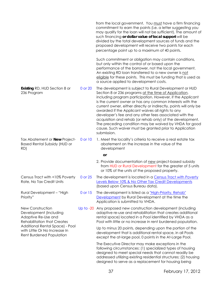|                                                                                                                                                                                                         |         | from the local government. You must have a firm financing<br>commitment to earn the points (i.e. a letter suggesting you<br>may qualify for the loan will not be sufficient). The amount of<br>such financing or dollar value of local support will be<br>divided by the total development sources of funds and the<br>proposed development will receive two points for each<br>percentage point up to a maximum of 40 points.                                                                                                                                                                                                  |
|---------------------------------------------------------------------------------------------------------------------------------------------------------------------------------------------------------|---------|---------------------------------------------------------------------------------------------------------------------------------------------------------------------------------------------------------------------------------------------------------------------------------------------------------------------------------------------------------------------------------------------------------------------------------------------------------------------------------------------------------------------------------------------------------------------------------------------------------------------------------|
|                                                                                                                                                                                                         |         | Such commitment or obligation may contain conditions,<br>but only within the control of or based upon the<br>performance of the borrower, not the local government.<br>An existing RD loan transferred to a new owner is not<br>eligible for these points. This must be funding that is used as<br>a source applied to development costs.                                                                                                                                                                                                                                                                                       |
| <b>Existing RD, HUD Section 8 or</b><br>236 Program                                                                                                                                                     | 0 or 20 | The development is subject to Rural Development or HUD<br>Section 8 or 236 programs at the time of Application,<br>including program participation. However, if the Applicant<br>is the current owner or has any common interests with the<br>current owner, either directly or indirectly, points will only be<br>awarded if the Applicant waives all rights to any<br>developer's fee and any other fees associated with the<br>acquisition and rehab (or rehab only) of the development.<br>The preceding condition may be waived by VHDA for good<br>cause. Such waiver must be granted prior to Application<br>submission. |
| Tax Abatement or New Project-<br><b>Based Rental Subsidy (HUD or</b><br>RD)                                                                                                                             | 0 or 10 | 1. Meet the locality's criteria to receive a real estate tax<br>abatement on the increase in the value of the<br>development                                                                                                                                                                                                                                                                                                                                                                                                                                                                                                    |
|                                                                                                                                                                                                         |         | <b>or</b>                                                                                                                                                                                                                                                                                                                                                                                                                                                                                                                                                                                                                       |
|                                                                                                                                                                                                         |         | 2. Provide documentation of new project-based subsidy<br>from HUD or Rural Development for the greater of 5 units<br>or 10% of the units of the proposed property.                                                                                                                                                                                                                                                                                                                                                                                                                                                              |
| Census Tract with <10% Poverty<br>Rate, No Tax Credit Units                                                                                                                                             | 0 or 25 | The development is located in a Census Tract with Poverty<br>Levels Below 10% & No Other Tax Credit Developments<br>(based upon Census Bureau data).                                                                                                                                                                                                                                                                                                                                                                                                                                                                            |
| Rural Development - "High<br>Priority"                                                                                                                                                                  | 0 or 15 | The development is listed as a "High-Priority, Rehab"<br>Development by Rural Development at the time the<br>Application is submitted to VHDA.                                                                                                                                                                                                                                                                                                                                                                                                                                                                                  |
| New Construction<br>Development (Including<br>Adaptive Re-Use and<br><b>Rehabilitation that Creates</b><br>Additional Rental Space) - Pool<br>with Little Or No Increase In<br>Rent Burdened Population |         | Up to -20 Any proposed new construction development (including<br>adaptive re-use and rehabilitation that creates additional<br>rental space) located in a Pool identified by VHDA as a<br>Pool with little or no increase in rent burdened population.                                                                                                                                                                                                                                                                                                                                                                         |
|                                                                                                                                                                                                         |         | Up to minus 20 points, depending upon the portion of the<br>development that is additional rental space, in all Pools<br>except the at-large pool, 0 points in the At-Large Pool.                                                                                                                                                                                                                                                                                                                                                                                                                                               |
|                                                                                                                                                                                                         |         | The Executive Director may make exceptions in the<br>following circumstances: (1) specialized types of housing<br>designed to meet special needs that cannot readily be<br>addressed utilizing existing residential structures; (2) housing<br>designed to serve as a replacement for housing being                                                                                                                                                                                                                                                                                                                             |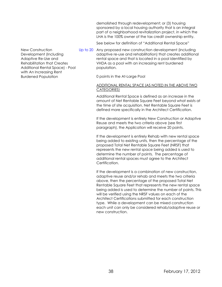demolished through redevelopment; or (3) housing sponsored by a local housing authority that is an integral part of a neighborhood revitalization project, in which the LHA is the 100% owner of the tax credit ownership entity.

See below for definition of "Additional Rental Space"

New Construction Development (Including Adaptive Re-Use and Rehabilitation that Creates Additional Rental Space) - Pool with An Increasing Rent Burdened Population

Up to 20 Any proposed new construction development (including adaptive re-use and rehabilitation) that creates additional rental space and that is located in a pool identified by VHDA as a pool with an increasing rent burdened population.

0 points in the At-Large Pool

#### ADDITIONAL RENTAL SPACE (AS NOTED IN THE ABOVE TWO CATEGORIES)

Additional Rental Space is defined as an increase in the amount of Net Rentable Square Feet beyond what exists at the time of site acquisition. Net Rentable Square Feet is defined more specifically in the Architect Certification.

If the development is entirely New Construction or Adaptive Reuse and meets the two criteria above (see first paragraph), the Application will receive 20 points.

If the development is entirely Rehab with new rental space being added to existing units, then the percentage of the proposed Total Net Rentable Square Feet (NRSF) that represents the new rental space being added is used to determine the number of points. The percentage of additional rental spaces must agree to the Architect Certification.

If the development is a combination of new construction, adaptive reuse and/or rehab and meets the two criteria above, then the percentage of the proposed Total Net Rentable Square Feet that represents the new rental space being added is used to determine the number of points. This will be verified using the NRSF values on each of the Architect Certifications submitted for each construction type. While a development can be mixed construction each unit can only be considered rehab/adaptive reuse or new construction.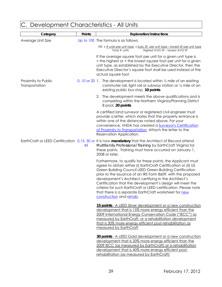<span id="page-41-0"></span>

| Development Characteristics - All Units |        |                                                                                                                                                                                                                                                                                                                                                                                                                                                                                                                                         |  |
|-----------------------------------------|--------|-----------------------------------------------------------------------------------------------------------------------------------------------------------------------------------------------------------------------------------------------------------------------------------------------------------------------------------------------------------------------------------------------------------------------------------------------------------------------------------------------------------------------------------------|--|
| Category                                | Points | <b>Explanation/Instructions</b>                                                                                                                                                                                                                                                                                                                                                                                                                                                                                                         |  |
| Average Unit Size                       |        | Up to 100 The formula is as follows:                                                                                                                                                                                                                                                                                                                                                                                                                                                                                                    |  |
|                                         |        | 100 x # units per unit type x Subj. SF per unit type - lowest SF per unit type<br>Highest AVG SF-lowest AVG SF<br>Total # units                                                                                                                                                                                                                                                                                                                                                                                                         |  |
|                                         |        | If the average square foot per unit for a given unit type is<br>> the highest or < the lowest square foot per unit for a given<br>unit type, as established by the Executive Director, then the<br>Executive Director's square foot shall be used instead of the<br>actual square foot.                                                                                                                                                                                                                                                 |  |
| Proximity to Public<br>Transportation   |        | 0, 10 or 20 1. The development is located within $\frac{1}{2}$ mile of an existing<br>commuter rail, light rail or subway station or 1/4 mile of an<br>existing public bus stop, 10 points                                                                                                                                                                                                                                                                                                                                              |  |
|                                         |        | 2. The development meets the above qualifications and is<br>competing within the Northern Virginia/Planning District<br>8 pool, 20 points                                                                                                                                                                                                                                                                                                                                                                                               |  |
|                                         |        | A certified land surveyor or registered civil engineer must<br>provide a letter, which states that the property entrance is<br>within one of the distances noted above. For your<br>convenience, VHDA has created a Surveyor's Certification<br>of Proximity to Transportation. Attach the letter to the<br>Reservation Application.                                                                                                                                                                                                    |  |
|                                         | 45     | EarthCraft or LEED Certification 0,15, 30 or It is now mandatory that the Architect of Record attend<br>Multifamily Professional Training by EarthCraft Virginia for<br>these points. Training must have occurred on January 1,<br>2008 or later.                                                                                                                                                                                                                                                                                       |  |
|                                         |        | Furthermore, to qualify for these points, the Applicant must<br>agree to obtain either (i) EarthCraft Certification or (ii) US<br>Green Building Council LEED Green-Building Certification<br>prior to the issuance of an IRS Form 8609, with the proposed<br>development's Architect certifying in the Architect's<br>Certification that the development's design will meet the<br>criteria for such EarthCraft or LEED certification. Please note<br>that there is a separate EarthCraft worksheet for new<br>construction and rehab. |  |
|                                         |        | 15 points - A LEED Silver development or a new construction<br>development that is 15% more energy efficient than the<br>2009 International Energy Conservation Code ("IECC") as<br>measured by EarthCraft, or a rehabilitation development<br>that is 30% more energy efficient post-rehabilitation as<br>measured by EarthCraft                                                                                                                                                                                                       |  |
|                                         |        | 30 points - A LEED Gold development or a new construction<br>development that is 20% more energy efficient than the<br>2009 IECC (as measured by EarthCraft) or a rehabilitation<br>development that is 40% more energy efficient post-<br>rehabilitation (as measured by EarthCraft)                                                                                                                                                                                                                                                   |  |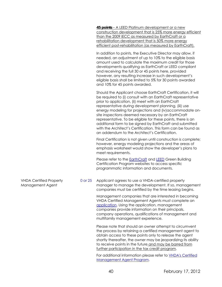**45 points** – A LEED Platinum development or a new construction development that is 25% more energy efficient than the 2009 IECC as measured by EarthCraft or a rehabilitation development that is 50% more energy efficient post-rehabilitation (as measured by EarthCraft).

In addition to points, the Executive Director may allow, if needed, an adjustment of up to 10% to the eligible basis amount used to calculate the maximum credit for those developments qualifying as EarthCraft or LEED compliant and receiving the full 30 or 45 points here, provided however, any resulting increase in such development's eligible basis shall be limited to 5% for 30 points awarded and 10% for 45 points awarded.

Should the Applicant choose EarthCraft Certification, it will be required to (i) consult with an EarthCraft representative prior to application, (ii) meet with an EarthCraft representative during development planning, (iii) use energy modeling for projections and (iv)accommodate onsite inspections deemed necessary by an EarthCraft representative. To be eligible for these points, there is an additional form to be signed by EarthCraft and submitted with the Architect's Certification. This form can be found as an addendum to the Architect's Certification.

Final Certification is not given until construction is complete; however, energy modeling projections and the areas of emphasis worksheet would show the developer's plans to meet requirements.

Please refer to the **EarthCraft** and **LEED** Green Building Certification Program websites to access specific programmatic information and documents.

VHDA Certified Property Management Agent

0 or 25 Applicant agrees to use a VHDA-certified property manager to manage the development. If so, management companies must be certified by the time leasing begins.

> Management companies that are interested in becoming VHDA Certified Management Agents must complete an [application.](http://www.vhda.com/BusinessPartners/MFDevelopers/LIHTCProgram/LowIncome%20Housing%20Tax%20Credit%20Program/Cert-Man-Agent-Application.doc) Using the application, management companies provide information on their principals, company operations, qualifications of management and multifamily management experience.

Please note that should an owner attempt to circumvent the process by retaining a certified management agent to obtain access to these points only to release the agent shortly thereafter, the owner may be jeopardizing its ability to receive points in the future and may be barred from further participation in the tax credit program.

For additional information please refer to **VHDA's Certified** [Management Agent Program](http://www.vhda.com/BusinessPartners/MFDevelopers/LIHTCProgram/LowIncome%20Housing%20Tax%20Credit%20Program/Cert-Man-Agent-Program.pdf).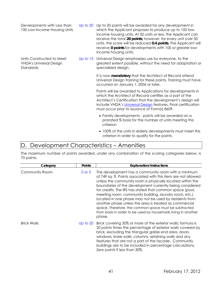| Developments with Less than<br>100 Low-Income Housing Units              | Up to 20 Up to 20 points will be awarded for any development in<br>which the Applicant proposes to produce up to 100 low-<br>income housing units. At 50 units or less, the Applicant can<br>receive the total 20 points; however, for every unit over 50<br>units, the score will be reduced 0.4 points. The Applicant will<br>receive 0 points for developments with 100 or greater low-<br>income housing units. |
|--------------------------------------------------------------------------|---------------------------------------------------------------------------------------------------------------------------------------------------------------------------------------------------------------------------------------------------------------------------------------------------------------------------------------------------------------------------------------------------------------------|
| Units Constructed to Meet<br><b>VHDA's Universal Design</b><br>Standards | Up to 15 Universal Design emphasizes use by everyone, to the<br>greatest extent possible, without the need for adaptation or<br>specialized design.<br>It is now mandatory that the Architect of Record attend                                                                                                                                                                                                      |
|                                                                          | Universal Design training for these points. Training must have<br>occurred on January 1, 2006 or later.                                                                                                                                                                                                                                                                                                             |
|                                                                          | Points will be awarded to Applications for developments in<br>which the Architect of Record certifies as a part of the<br>Architect's Certification that the development's design will<br>include VHDA's Universal Design features. Final certification<br>must occur prior to issuance of Form(s) 8609.                                                                                                            |
|                                                                          | • Family developments - points will be awarded on a<br>prorated % basis for the number of units meeting this<br>criterion                                                                                                                                                                                                                                                                                           |
|                                                                          | • 100% of the units in elderly developments must meet this<br>criterion in order to qualify for the points.                                                                                                                                                                                                                                                                                                         |

## <span id="page-43-0"></span>D. Development Characteristics – Amenities

The maximum number of points awarded, under any combination of the scoring categories below, is 70 points.

| Category           | <b>Points</b> | <b>Explanation/Instructions</b>                                                                                                                                                                                                                                                                                                                                                                                                                                                                                                                                                                                                |
|--------------------|---------------|--------------------------------------------------------------------------------------------------------------------------------------------------------------------------------------------------------------------------------------------------------------------------------------------------------------------------------------------------------------------------------------------------------------------------------------------------------------------------------------------------------------------------------------------------------------------------------------------------------------------------------|
| Community Room     | 0 or 5        | The development has a community room with a minimum<br>of 749 sq. ft. Points associated with this item are not allowed<br>unless the community room is physically located within the<br>boundaries of the development currently being considered<br>for credits. The IRS has stated that common space (pool,<br>meeting room, community building, laundry room, etc.)<br>located in one phase may not be used by residents from<br>another phase unless the area is treated as commercial<br>space. Therefore, the common space must be subtracted<br>from basis in order to be used by households living in another<br>phase. |
| <b>Brick Walls</b> |               | Up to 20 Brick covering 30% or more of the exterior walls; formula is<br>20 points times the percentage of exterior walls covered by<br>brick, excluding the triangular gable end area, doors,<br>windows, knee walls, columns, retaining walls and any<br>features that are not a part of the facade. Community<br>buildings are to be included in percentage calculations.<br>Zero points if less than 30%.                                                                                                                                                                                                                  |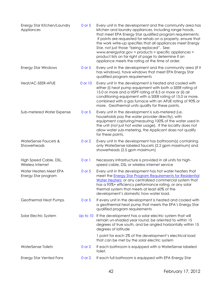<span id="page-44-0"></span>

| Energy Star Kitchen/Laundry<br>Appliances     | 0 or 5     | Every unit in the development and the community area has<br>kitchen and laundry appliances, including range hoods,<br>that meet EPA Energy Star qualified program requirements.<br>If points are requested for rehab on a property, ensure that<br>the work write-up specifies that all appliances meet Energy<br>Star, not just those "being replaced". See:<br>www.energystar.gov > products > specific appliances ><br>product lists on far right of page to determine if an<br>appliance meets the rating at the time of order. |
|-----------------------------------------------|------------|-------------------------------------------------------------------------------------------------------------------------------------------------------------------------------------------------------------------------------------------------------------------------------------------------------------------------------------------------------------------------------------------------------------------------------------------------------------------------------------------------------------------------------------|
| <b>Energy Star Windows</b>                    | $0$ or $5$ | Every unit in the development and the community area (if it<br>has windows), have windows that meet EPA Energy Star<br>qualified program requirements                                                                                                                                                                                                                                                                                                                                                                               |
| Heat/AC-SEER-AFUE                             | 0 or 10    | Every unit in the development is heated and cooled with<br>either (i) heat pump equipment with both a SEER rating of<br>15.0 or more and a HSPF rating of 8.5 or more or (ii) air<br>conditioning equipment with a SEER rating of 15.0 or more,<br>combined with a gas furnace with an AFUE rating of 90% or<br>more. Geothermal units qualify for these points.                                                                                                                                                                    |
| Sub-metered Water Expense                     | $0$ or $5$ | Every unit in the development is sub-metered (i.e.<br>households pay the water provider directly), with<br>equipment capturing/measuring 100% of the water used in<br>the unit (not just hot water usage). If the locality does not<br>allow water sub-metering, the Applicant does not qualify<br>for these points.                                                                                                                                                                                                                |
| WaterSense Faucets &<br>Showerheads           | $0$ or $2$ | Every unit in the development has bathroom(s) containing<br>only WaterSense labeled faucets (2.2 gpm maximum) and<br>showerheads (2.5 gpm maximum)                                                                                                                                                                                                                                                                                                                                                                                  |
| High Speed Cable, DSL,<br>Wireless Internet   | $0$ or $1$ | Necessary infrastructure is provided in all units for high-<br>speed cable, DSL or wireless internet service                                                                                                                                                                                                                                                                                                                                                                                                                        |
| Water Heaters Meet EPA<br>Energy Star program | 0 or 5     | Every unit in the development has hot water heaters that<br>meet the <b>Energy Star Program Requirements for Residential</b><br>Water Heaters; or any centralized commercial system that<br>has a 95%+ efficiency performance rating, or any solar<br>thermal system that meets at least 60% of the<br>development's domestic how water load.                                                                                                                                                                                       |
| Geothermal Heat Pumps                         | 0 or 5     | If every unit in the development is heated and cooled with<br>a geothermal heat pump that meets the EPA's Energy Star<br>qualified program requirements                                                                                                                                                                                                                                                                                                                                                                             |
| Solar Electric System                         | Up to 10   | If the development has a solar electric system that will<br>remain un-shaded year round, be oriented to within 15<br>degrees of true south, and be angled horizontally within 15<br>degrees of latitude                                                                                                                                                                                                                                                                                                                             |
|                                               |            | 1 point for each 2% of the development's electrical load<br>that can be met by the solar electric system                                                                                                                                                                                                                                                                                                                                                                                                                            |
| <b>WaterSense Toilets</b>                     | $0$ or $2$ | If each bathroom is equipped with a WaterSense labeled<br>toilet.                                                                                                                                                                                                                                                                                                                                                                                                                                                                   |
| <b>Energy Star Vented Fans</b>                | $0$ or $2$ | If each full bathroom is equipped with EPA Energy Star                                                                                                                                                                                                                                                                                                                                                                                                                                                                              |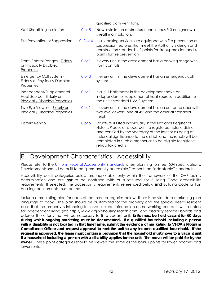|                                                                                               |             | qualified bath vent fans.                                                                                                                                                                                                                                                                                                                         |
|-----------------------------------------------------------------------------------------------|-------------|---------------------------------------------------------------------------------------------------------------------------------------------------------------------------------------------------------------------------------------------------------------------------------------------------------------------------------------------------|
| Wall Sheathing Insulation                                                                     | 0 or 5      | New installation of structural continuous R-3 or higher wall<br>sheathing insulation.                                                                                                                                                                                                                                                             |
| Fire Prevention or Suppression                                                                | $0, 2$ or 4 | If all cooking services are equipped with fire prevention or<br>suppression features that meet the Authority's design and<br>construction standards. 2 points for fire suppression and 4<br>points for fire prevention                                                                                                                            |
| Front-Control Ranges - Elderly<br>or Physically Disabled<br>Properties                        | $0$ or $1$  | If every unit in the development has a cooking range with<br>front controls                                                                                                                                                                                                                                                                       |
| <b>Emergency Call System -</b><br><b>Elderly or Physically Disabled</b><br>Properties         | $0$ or $3$  | If every unit in the development has an emergency call<br>system                                                                                                                                                                                                                                                                                  |
| Independent/Supplemental<br>Heat Source - Elderly or<br><b>Physically Disabled Properties</b> | $0$ or $1$  | If all full bathrooms in the development have an<br>independent or supplemental heat source, in addition to<br>the unit's standard HVAC system.                                                                                                                                                                                                   |
| Two Eye Viewers - <b>Elderly or</b><br><b>Physically Disabled Properties</b>                  | $0$ or $1$  | If every unit in the development has an entrance door with<br>two eye viewers, one at 42" and the other at standard<br>height                                                                                                                                                                                                                     |
| Historic Rehab                                                                                | $0$ or $5$  | Structure is listed individually in the National Register of<br>Historic Places or is located in a registered historic district<br>and certified by the Secretary of the Interior as being of<br>historical significance to the district, and the rehab will be<br>completed in such a manner as to be eligible for historic<br>rehab tax credits |

## E. Development Characteristics - Accessibility

Please refer to the [Uniform Federal Accessibility Standards](http://www.access-board.gov/ufas/ufas-html/ufas.htm) when planning to meet 504 specifications. Developments should be built to be "permanently accessible," rather than "adaptable" standards.

Accessibility point categories below are applicable only within the framework of the QAP points determination and are **not** to be confused with or substituted for Building Code accessibility requirements. If selected, the accessibility requirements referenced below **and** Building Code or Fair Housing requirements must be met.

Include a marketing plan for each of the three categories below. There is no standard marketing plan language to copy. The plan should be customized for the property and the special needs resident base that the property is intending to serve. Include information on networking contacts with centers for independent living (ex: http://www.virginiahousingsearch.com) and disability services boards and address the efforts that will be necessary to fill a vacant unit. **Units must be held vacant for 60 days during which ongoing marketing must be documented. If a qualified household including a person with a disability is not located in that timeframe, submit the evidence of marketing to VHDA's Program Compliance Officer and request approval to rent the unit to any income-qualified household. If the request is approved, the lease must contain a provision that the household must move to a vacant unit if a household including a person with a disability applies for the unit. The move will be paid for by the owner**. These point categories should be viewed the same as the bonus points for lower incomes and lower rents.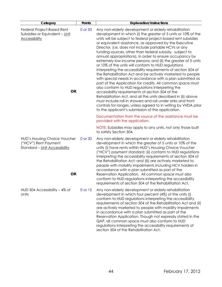| Category                                                                                                  | Points  | <b>Explanation/Instructions</b>                                                                                                                                                                                                                                                                                                                                                                                                                                                                                                                                                                                                                                                                                                                                                                                                                                                                                                                                                                                                                                                                                                                                                  |
|-----------------------------------------------------------------------------------------------------------|---------|----------------------------------------------------------------------------------------------------------------------------------------------------------------------------------------------------------------------------------------------------------------------------------------------------------------------------------------------------------------------------------------------------------------------------------------------------------------------------------------------------------------------------------------------------------------------------------------------------------------------------------------------------------------------------------------------------------------------------------------------------------------------------------------------------------------------------------------------------------------------------------------------------------------------------------------------------------------------------------------------------------------------------------------------------------------------------------------------------------------------------------------------------------------------------------|
| Federal Project-Based Rent<br>Subsidies or Equivalent - Unit<br><b>Accessibility</b><br><b>OR</b>         | 0 or 50 | Any non-elderly development or elderly rehabilitation<br>development in which (i) the greater of 5 units or 10% of the<br>units will be subject to federal project-based rent subsidies<br>or equivalent assistance, as approved by the Executive<br>Director, (i.e. does not include portable HCVs or any<br>funding sources, other than federal subsidy, subject to<br>annual appropriations), in order to ensure occupancy by<br>extremely low-income persons; and (ii) the greater of 5 units<br>or 10% of the units will conform to HUD regulations<br>interpreting the accessibility requirements of section 504 of<br>the Rehabilitation Act and be actively marketed to people<br>with special needs in accordance with a plan submitted as<br>part of the Application for credits. All common space must<br>also conform to HUD regulations interpreting the<br>accessibility requirements of section 504 of the<br>Rehabilitation Act, and all the units described in (ii) above<br>must include roll-in showers and roll under sinks and front<br>controls for ranges, unless agreed to in writing by VHDA prior<br>to the applicant's submission of the application. |
|                                                                                                           |         | Documentation from the source of the assistance must be<br>provided with the application.                                                                                                                                                                                                                                                                                                                                                                                                                                                                                                                                                                                                                                                                                                                                                                                                                                                                                                                                                                                                                                                                                        |
|                                                                                                           |         | NOTE: Subsidies may apply to any units, not only those built<br>to satisfy Section 504.                                                                                                                                                                                                                                                                                                                                                                                                                                                                                                                                                                                                                                                                                                                                                                                                                                                                                                                                                                                                                                                                                          |
| <b>HUD's Housing Choice Voucher</b><br>("HCV") Rent Payment<br>Standard - Unit Accessibility<br><b>OR</b> | 0 or 30 | Any non-elderly development or elderly rehabilitation<br>development in which the greater of 5 units or 10% of the<br>units (i) have rents within HUD's Housing Choice Voucher<br>("HCV") payment standard; (ii) conform to HUD regulations<br>interpreting the accessibility requirements of section 504 of<br>the Rehabilitation Act; and (iii) are actively marketed to<br>people with mobility impairments including HCV holders in<br>accordance with a plan submitted as part of the<br>Reservation Application. All common space must also<br>conform to HUD regulations interpreting the accessibility                                                                                                                                                                                                                                                                                                                                                                                                                                                                                                                                                                   |
| HUD 504 Accessibility $-4\%$ of<br>Units                                                                  | 0 or 15 | requirements of section 504 of the Rehabilitation Act.<br>Any non-elderly development or elderly rehabilitation<br>development in which four percent (4%) of the units (i)<br>conform to HUD regulations interpreting the accessibility<br>requirements of section 504 of the Rehabilitation Act and (ii)<br>are actively marketed to people with mobility impairments<br>in accordance with a plan submitted as part of the<br>Reservation Application. Though not expressly stated in the<br>QAP, all common space must also conform to HUD<br>regulations interpreting the accessibility requirements of<br>section 504 of the Rehabilitation Act.                                                                                                                                                                                                                                                                                                                                                                                                                                                                                                                            |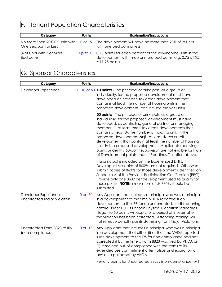# <span id="page-47-0"></span>F. Tenant Population Characteristics

| Category                                     | <b>Points</b> | <b>Explanation/Instructions</b>                                                                                                                       |
|----------------------------------------------|---------------|-------------------------------------------------------------------------------------------------------------------------------------------------------|
| One Bedroom or Less                          |               | No More Than 20% Of Units with 0 or 15 The development will have no more than 20% of its units<br>with one bedroom or less.                           |
| % of Units with 3 or More<br><b>Bedrooms</b> |               | Up to 15 0.75 points for each percent of the low-income units in the<br>development with three or more bedrooms, e.g. 0.75 x 15%<br>$= 11.25$ points. |

## <span id="page-47-1"></span>G. Sponsor Characteristics

| Category                                                     | Points       | <b>Explanation/Instructions</b>                                                                                                                                                                                                                                                                                                                                                                                                                                                                                                                                                                           |
|--------------------------------------------------------------|--------------|-----------------------------------------------------------------------------------------------------------------------------------------------------------------------------------------------------------------------------------------------------------------------------------------------------------------------------------------------------------------------------------------------------------------------------------------------------------------------------------------------------------------------------------------------------------------------------------------------------------|
| Developer Experience                                         |              | 0, 10 or 50 10 points - The principal or principals, as a group or<br>individually, for the proposed development must have<br>developed at least one tax credit development that<br>contains at least the number of housing units in the<br>proposed development (can include market units)                                                                                                                                                                                                                                                                                                               |
|                                                              |              | 50 points - The principal or principals, as a group or<br>individually, for the proposed development must have<br>developed, as controlling general partner or managing<br>member, (i) at least three tax credit developments that<br>contain at least 3x the number of housing units in the<br>proposed development or (ii) at least six tax credit<br>developments that contain at least the number of housing<br>units in the proposed development. Applicants receiving<br>points under this 50-point subdivision are not eligible for Plan<br>of Development points under "Readiness" section above. |
|                                                              |              | If a principal is included on the Experienced LIHTC<br>Developer List copies of 8609s are not required. Otherwise,<br>submit copies of 8609s for those developments identified on<br>Schedule A of the Previous Participation Certification (PPC).<br>Provide only one 8609 per development used to qualify for<br>these points. NOTE: a maximum of six 8609s should be<br>submitted.                                                                                                                                                                                                                     |
| Developer Experience -<br><b>Uncorrected Major Violation</b> | 0 or -50     | Any Applicant that includes a principal who was a principal<br>in a development at the time VHDA reported such<br>development to the IRS for an uncorrected, life-threatening<br>hazard under HUD's Uniform Physical Condition Standards.<br>Negative 50 points will apply for a period of 3 years after<br>the violation has been corrected. Attending training will<br>not remove penalty points stemming from Major Violations.                                                                                                                                                                        |
| Uncorrected Form 8823 to IRS<br>(non-compliance)             | $0$ or $-15$ | Any Applicant that includes a principal who was a principal<br>in a development that either (i) at the time VHDA reported<br>such development to the IRS for non-compliance had not<br>corrected it by the time a Form 8823 was filed by VHDA or<br>(ii) remained out-of-compliance with the terms of its<br>extended use commitment after notice and expiration of<br>any cure period set by VHDA.                                                                                                                                                                                                       |
|                                                              |              | Penalty points for Uncorrected 8823s (non-compliance) will                                                                                                                                                                                                                                                                                                                                                                                                                                                                                                                                                |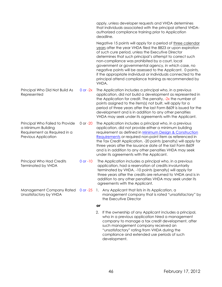|                                                                                                               |              | apply, unless developer requests and VHDA determines<br>that individuals associated with the principal attend VHDA-<br>authorized compliance training prior to Application<br>deadline.                                                                                                                                                                                                                                                                                                                                                                      |
|---------------------------------------------------------------------------------------------------------------|--------------|--------------------------------------------------------------------------------------------------------------------------------------------------------------------------------------------------------------------------------------------------------------------------------------------------------------------------------------------------------------------------------------------------------------------------------------------------------------------------------------------------------------------------------------------------------------|
|                                                                                                               |              | Negative 15 points will apply for a period of three calendar<br>years after the year VHDA filed the 8823 or upon expiration<br>of such cure period, unless the Executive Director<br>determines that such principal's attempt to correct such<br>non-compliance was prohibited by a court, local<br>government or governmental agency, in which case, no<br>negative points will be assessed to the Applicant. 0 points,<br>if the appropriate individual or individuals connected to the<br>principal attend compliance training as recommended by<br>VHDA. |
| Principal Who Did Not Build As<br>Represented                                                                 | $0$ or $-2x$ | The Application includes a principal who, in a previous<br>application, did not build a development as represented in<br>the Application for credit. The penalty, -2x the number of<br>points assigned to the item(s) not built, will apply for a<br>period of three years after the last Form 8609 is issued for the<br>development and is in addition to any other penalties<br>VHDA may seek under its agreements with the Applicant.                                                                                                                     |
| Principal Who Failed to Provide<br>a Minimum Building<br>Requirement as Required in a<br>Previous Application | 0 or -20     | The Application includes a principal who, in a previous<br>application, did not provide either a minimum building<br>requirement as defined in Minimum Design & Construction<br>Requirements or required non-point item as referenced in<br>the Tax Credit Application. -20 points (penalty) will apply for<br>three years after the issuance date of the last Form 8609<br>and is in addition to any other penalties VHDA may seek<br>under its agreements with the Applicant.                                                                              |
| Principal Who Had Credits<br><b>Terminated by VHDA</b>                                                        | $0$ or $-10$ | The Application includes a principal who, in a previous<br>application, had a reservation of credits involuntarily<br>terminated by VHDA. -10 points (penalty) will apply for<br>three years after the credits are returned to VHDA and is in<br>addition to any other penalties VHDA may seek under its<br>agreements with the Applicant.                                                                                                                                                                                                                   |
| Management Company Rated<br>Unsatisfactory by VHDA                                                            | $0$ or $-25$ | Any Applicant that lists in its Application, a<br>1.<br>management company that is rated "unsatisfactory" by<br>the Executive Director                                                                                                                                                                                                                                                                                                                                                                                                                       |
|                                                                                                               |              | or                                                                                                                                                                                                                                                                                                                                                                                                                                                                                                                                                           |
|                                                                                                               |              | 2.<br>If the ownership of any Applicant includes a principal,<br>who in a previous application hired a management<br>company to manage a tax credit development, after<br>such management company received an                                                                                                                                                                                                                                                                                                                                                |

development.

"unsatisfactory" rating from VHDA during the compliance and extended use periods of such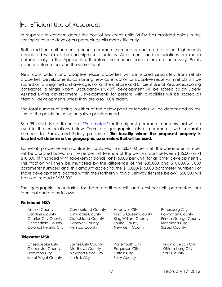## <span id="page-49-0"></span>H. Efficient Use of Resources

In response to concern about the cost of tax credit units, VHDA has provided points in the scoring criteria to developers producing units more efficiently.

Both credit-per-unit and cost-per-unit parameter numbers are adjusted to reflect higher costs associated with mid-rise and high-rise structures. Adjustments and calculations are made automatically in the Application; therefore, no manual calculations are necessary. Points appear automatically on the score sheet.

New construction and adaptive reuse properties will be scored separately from rehab properties. Developments combining new construction or adaptive reuse with rehab will be scored on a weighted unit average. For all the unit size and Efficient Use of Resources scoring categories, a Single Room Occupancy ("SRO") development will be scored as an Elderly Assisted Living development. Developments for persons with disabilities will be scored as "family" developments unless they are also 100% elderly.

The total number of points in either of the below point categories will be determined by the sum of the points including negative points earned.

See (Efficient Use of Resources) ["Parameters"](http://www.vhda.com/BusinessPartners/MFDevelopers/MF-LoanApplication-Guides/Pages/Reference-Docs-Forms.aspx) for the highest parameter numbers that will be used in the calculations below. There are geographic sets of parameters with separate numbers for Family and Elderly properties. **The locality where the proposed property is located will determine the geographic parameters that will be used.** 

For rehab properties with contractor costs less than \$35,000 per unit, the parameter number will be prorated based on the percent difference of the per-unit cost between \$35,000 and \$10,000 (if financed with tax-exempt bonds) **or** \$15,000 per unit (for all other developments). This fraction will then be multiplied by the difference of the \$35,000 and \$10,000/\$15,000 parameter numbers and this amount added to the \$10,000/\$15,000 parameter number. For those developments located within the Northern Virginia Beltway tier (see below), \$50,000 will be used instead of \$35,000.

The geographic boundaries for both credit-per-unit and cost-per-unit parameters are identical and are as follows:

#### **Richmond MSA**

| Amelia County                | <b>Cumberland County</b> | <b>Hopewell City</b> | Petersburg City             |
|------------------------------|--------------------------|----------------------|-----------------------------|
| <b>Caroline County</b>       | Dinwiddie County         | King & Queen County  | Powhatan County             |
| <b>Charles City County</b>   | <b>Goochland County</b>  | King William County  | <b>Prince George County</b> |
| <b>Chesterfield County</b>   | <b>Hanover County</b>    | Louisa County        | <b>Richmond City</b>        |
| <b>Colonial Heights City</b> | <b>Henrico County</b>    | New Kent County      | <b>Sussex County</b>        |
| <b>Tidewater MSA</b>         |                          |                      |                             |
| Chesapeake City              | James City County        | Portsmouth City      | Virginia Beach City         |
| <b>Gloucester County</b>     | <b>Matthews County</b>   | Poquoson City        | Williamsburg City           |
| Hampton City                 | <b>Newport News City</b> | Suffolk City         | <b>York County</b>          |

Isle of Wight County Norfolk City Surry County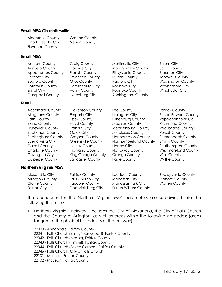#### **Small MSA Charlottesville**

| <b>Albemarle County</b> | <b>Greene County</b> |
|-------------------------|----------------------|
| Charlottesville City    | Nelson County        |
| <b>Fluvanna County</b>  |                      |

#### **Small MSA**

| <b>Amherst County</b>    | Craig County            | Martinsville City        | Salem City               |
|--------------------------|-------------------------|--------------------------|--------------------------|
| Augusta County           | Danville City           | Montgomery County        | <b>Scott County</b>      |
| <b>Appomattox County</b> | Franklin County         | Pittsylvania County      | <b>Staunton City</b>     |
| <b>Bedford City</b>      | <b>Frederick County</b> | <b>Pulaski County</b>    | <b>Tazewell County</b>   |
| <b>Bedford County</b>    | Giles County            | <b>Radford City</b>      | <b>Washington County</b> |
| <b>Botetourt County</b>  | Harrisonburg City       | Roanoke City             | Waynesboro City          |
| <b>Bristol City</b>      | <b>Henry County</b>     | Roanoke County           | Winchester City          |
| <b>Campbell County</b>   | Lynchburg City          | <b>Rockingham County</b> |                          |
|                          |                         |                          |                          |

#### **Rural**

| <b>Accomack County</b><br><b>Alleghany County</b><br><b>Bath County</b><br><b>Bland County</b><br><b>Brunswick County</b>                                                     | Dickenson County<br><b>Emporia City</b><br><b>Essex County</b><br>Floyd County<br>Franklin City                                                               | Lee County<br>Lexington City<br>Lunenburg County<br><b>Madison County</b>                                                                | <b>Patrick County</b><br><b>Prince Edward County</b><br>Rappahannock Co.<br><b>Richmond County</b>                                                   |
|-------------------------------------------------------------------------------------------------------------------------------------------------------------------------------|---------------------------------------------------------------------------------------------------------------------------------------------------------------|------------------------------------------------------------------------------------------------------------------------------------------|------------------------------------------------------------------------------------------------------------------------------------------------------|
|                                                                                                                                                                               |                                                                                                                                                               | Mecklenburg County                                                                                                                       | Rockbridge County                                                                                                                                    |
| <b>Buchanan County</b><br><b>Buckingham County</b><br><b>Buena Vista City</b><br><b>Carroll County</b><br><b>Charlotte County</b><br>Covington City<br><b>Culpeper County</b> | Galax City<br><b>Grayson County</b><br><b>Greensville County</b><br><b>Halifax County</b><br><b>Highland County</b><br>King George County<br>Lancaster County | <b>Middlesex County</b><br>Northampton County<br>Northumberland County<br>Norton City<br>Nottoway County<br>Orange County<br>Page County | <b>Russell County</b><br>Shenandoah County<br>Smyth County<br>Southampton County<br><b>Westmoreland County</b><br><b>Wise County</b><br>Wythe County |

#### **Northern Virginia MSA**

| Alexandria City      | Fairfax County           | Loudoun County               | Spotsylvania County    |
|----------------------|--------------------------|------------------------------|------------------------|
| Arlington County     | <b>Falls Church City</b> | Manassas City                | <b>Stafford County</b> |
| <b>Clarke County</b> | <b>Fauguier County</b>   | Manassas Park City           | Warren County          |
| Fairfax City         | Fredericksburg City      | <b>Prince William County</b> |                        |

The boundaries for the Northern Virginia MSA parameters are sub-divided into the following three tiers:

- 1. Northern Virginia Beltway includes the City of Alexandria, the City of Falls Church and the County of Arlington, as well as areas within the following zip codes: (areas tangent to the physical boundaries of the beltway)
	- 22003 Annandale, Fairfax County 22041 - Falls Church (Bailey's Crossroad), Fairfax County 22042 - Falls Church (Mosby), Fairfax County 22043 - Falls Church (Pimmit), Fairfax County 22044 - Falls Church (Seven Corners), Fairfax County 22046 - Falls Church, City of Falls Church 22101 - McLean, Fairfax County 22102 - McLean, Fairfax County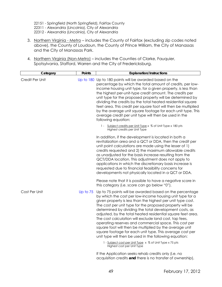22151 - Springfield (North Springfield), Fairfax County

22311 - Alexandria (Lincolnia), City of Alexandria

- 22312 Alexandria (Lincolnia), City of Alexandria
- <span id="page-51-0"></span>3. Northern Virginia - Metro - includes the County of Fairfax (excluding zip codes noted above), the County of Loudoun, the County of Prince William, the City of Manassas and the City of Manassas Park.
- 4. Northern Virginia (Non-Metro) includes the Counties of Clarke, Fauquier, Spotsylvania, Stafford, Warren and the City of Fredericksburg.

| Category        | Points     | <b>Explanation/Instructions</b>                                                                                                                                                                                                                                                                                                                                                                                                                                                                                                                                                                                                                                              |
|-----------------|------------|------------------------------------------------------------------------------------------------------------------------------------------------------------------------------------------------------------------------------------------------------------------------------------------------------------------------------------------------------------------------------------------------------------------------------------------------------------------------------------------------------------------------------------------------------------------------------------------------------------------------------------------------------------------------------|
| Credit Per Unit |            | Up to 180 Up to 180 points will be awarded based on the<br>percentage by which the total amount of credits, per low-<br>income housing unit type, for a given property, is less than<br>the highest per-unit-type credit amount. The credits per<br>unit type for the proposed property will be determined by<br>dividing the credits by the total heated residential square<br>feet area. This credit per square foot will then be multiplied<br>by the average unit square footage for each unit type. This<br>average credit per unit type will then be used in the<br>following equation:                                                                                |
|                 |            | 1 - Subject credits per Unit Type x % of Unit Type x 180 pts<br>Highest credits per Unit Type                                                                                                                                                                                                                                                                                                                                                                                                                                                                                                                                                                                |
|                 |            | In addition, if the development is located in both a<br>revitalization area and a QCT or DDA, then the credit per<br>unit point calculations are made using the lesser of 1)<br>credits requested and 2) the maximum allowable credits<br>as unadjusted for the basis increase resulting from the<br>QCT/DDA location. This adjustment does not apply to<br>applications in which the discretionary basis increase is<br>requested due to financial feasibility concerns for<br>developments not physically located in a QCT or DDA.                                                                                                                                         |
|                 |            | Please note that it is possible to have a negative score in<br>this category (i.e. score can go below "0").                                                                                                                                                                                                                                                                                                                                                                                                                                                                                                                                                                  |
| Cost Per Unit   | Up to $75$ | Up to 75 points will be awarded based on the percentage<br>by which the cost per low-income housing unit type for a<br>given property is less than the highest per unit type cost.<br>The cost per unit type for the proposed property will be<br>determined by dividing the total development costs, as<br>adjusted, by the total heated residential square feet area.<br>The cost calculation will exclude land cost, tap fees,<br>operating reserves and commercial space. This cost per<br>square foot will then be multiplied by the average unit<br>square footage for each unit type. This average cost per<br>unit type will then be used in the following equation: |
|                 |            | 1 - Subject cost per Unit Type x % of Unit Type x 75 pts<br>Highest cost per Unit Type                                                                                                                                                                                                                                                                                                                                                                                                                                                                                                                                                                                       |
|                 |            | If the Application seeks rehab credits only (i.e. no                                                                                                                                                                                                                                                                                                                                                                                                                                                                                                                                                                                                                         |

acquisition credits **and** there is no transfer of ownership),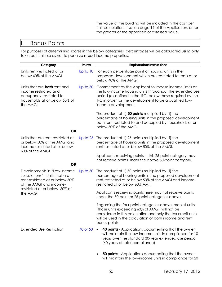the value of the building will be included in the cost per unit calculation. If so, on page 19 of the Application, enter the greater of the appraised or assessed value.

## I. Bonus Points

For purposes of determining scores in the below categories, percentages will be calculated using only tax credit units so as not to penalize mixed-income properties.

| Category                                                                                                                                                                  | Points     | <b>Explanation/Instructions</b>                                                                                                                                                                                                                                    |
|---------------------------------------------------------------------------------------------------------------------------------------------------------------------------|------------|--------------------------------------------------------------------------------------------------------------------------------------------------------------------------------------------------------------------------------------------------------------------|
| Units rent-restricted at or<br>below 40% of the AMGI                                                                                                                      | Up to 10   | For each percentage point of housing units in the<br>proposed development which are restricted to rents at or<br>below 40% of the AMGI.                                                                                                                            |
| Units that are both rent and<br>income restricted and<br>occupancy-restricted to<br>households at or below 50% of<br>the AMGI                                             | Up to $50$ | Commitment by the Applicant to impose income limits on<br>the low-income housing units throughout the extended use<br>period (as defined in the IRC) below those required by the<br>IRC in order for the development to be a qualified low-<br>income development. |
| <b>OR</b>                                                                                                                                                                 |            | The product of (i) 50 points multiplied by (ii) the<br>percentage of housing units in the proposed development<br>both rent-restricted to and occupied by households at or<br>below 50% of the AMGI.                                                               |
| Units that are rent-restricted at<br>or below 50% of the AMGI and<br>income-restricted at or below<br>60% of the AMGI                                                     | Up to $25$ | The product of (i) 25 points multiplied by (ii) the<br>percentage of housing units in the proposed development<br>rent-restricted at or below 50% of the AMGI.                                                                                                     |
|                                                                                                                                                                           |            | Applicants receiving points in this 25-point category may<br>not receive points under the above 50-point category.                                                                                                                                                 |
| <b>OR</b>                                                                                                                                                                 |            |                                                                                                                                                                                                                                                                    |
| Developments in "Low-Income<br>Jurisdictions" - Units that are<br>rent-restricted at or below 50%<br>of the AMGI and income-<br>restricted at or below 60% of<br>the AMGI | Up to $50$ | The product of (i) 50 points multiplied by (ii) the<br>percentage of housing units in the proposed development<br>rent-restricted at or below 50% of the AMGI and income-<br>restricted at or below 60% AMI.                                                       |
|                                                                                                                                                                           |            | Applicants receiving points here may not receive points<br>under the 50-point or 25-point categories above.                                                                                                                                                        |
|                                                                                                                                                                           |            | Regarding the four point categories above, market units<br>(those units exceeding 60% of AMGI) will not be<br>considered in this calculation and only the tax credit units<br>will be used in the calculation of both income and rent<br>bonus points.             |
| <b>Extended Use Restriction</b>                                                                                                                                           | 40 or 50   | 40 points - Applications documenting that the owner<br>$\bullet$<br>will maintain the low-income units in compliance for 10<br>years over the standard 30-year extended use period<br>(40 years of total compliance)                                               |
|                                                                                                                                                                           |            | 50 points - Applications documenting that the owner<br>will maintain the low-income units in compliance for 20                                                                                                                                                     |